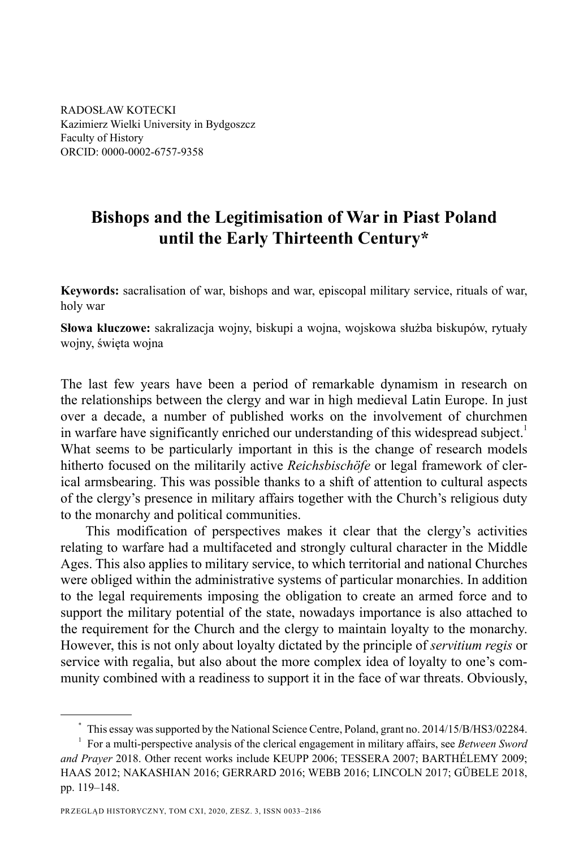RADOSŁAW KOTECKI Kazimierz Wielki University in Bydgoszcz Faculty of History ORCID: 0000-0002-6757-9358

# **Bishops and the Legitimisation of War in Piast Poland until the Early Thirteenth Century\***

**Keywords:** sacralisation of war, bishops and war, episcopal military service, rituals of war, holy war

**Słowa kluczowe:** sakralizacja wojny, biskupi a wojna, wojskowa służba biskupów, rytuały wojny, święta wojna

The last few years have been a period of remarkable dynamism in research on the relationships between the clergy and war in high medieval Latin Europe. In just over a decade, a number of published works on the involvement of churchmen in warfare have significantly enriched our understanding of this widespread subject.<sup>1</sup> What seems to be particularly important in this is the change of research models hitherto focused on the militarily active *Reichsbischöfe* or legal framework of clerical armsbearing. This was possible thanks to a shift of attention to cultural aspects of the clergy's presence in military affairs together with the Church's religious duty to the monarchy and political communities.

This modification of perspectives makes it clear that the clergy's activities relating to warfare had a multifaceted and strongly cultural character in the Middle Ages. This also applies to military service, to which territorial and national Churches were obliged within the administrative systems of particular monarchies. In addition to the legal requirements imposing the obligation to create an armed force and to support the military potential of the state, nowadays importance is also attached to the requirement for the Church and the clergy to maintain loyalty to the monarchy. However, this is not only about loyalty dictated by the principle of *servitium regis* or service with regalia, but also about the more complex idea of loyalty to one's community combined with a readiness to support it in the face of war threats. Obviously,

<sup>\*</sup> This essay was supported by the National Science Centre, Poland, grant no. 2014/15/B/HS3/02284.

<sup>1</sup> For a multi-perspective analysis of the clerical engagement in military affairs, see *Between Sword and Prayer* 2018. Other recent works include KEUPP 2006; TESSERA 2007; BARTHÉLEMY 2009; HAAS 2012; NAKASHIAN 2016; GERRARD 2016; WEBB 2016; LINCOLN 2017; GÜBELE 2018, pp. 119–148.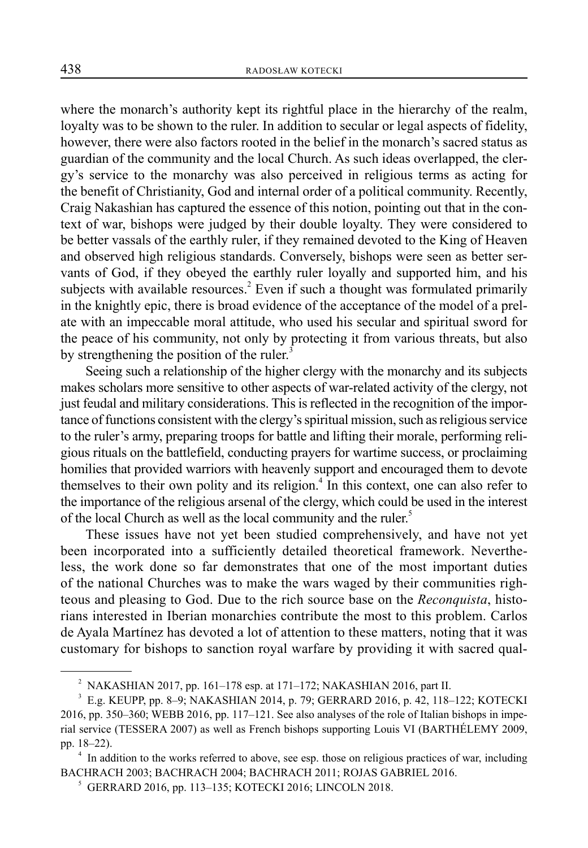where the monarch's authority kept its rightful place in the hierarchy of the realm, loyalty was to be shown to the ruler. In addition to secular or legal aspects of fidelity, however, there were also factors rooted in the belief in the monarch's sacred status as guardian of the community and the local Church. As such ideas overlapped, the clergy's service to the monarchy was also perceived in religious terms as acting for the benefit of Christianity, God and internal order of a political community. Recently, Craig Nakashian has captured the essence of this notion, pointing out that in the context of war, bishops were judged by their double loyalty. They were considered to be better vassals of the earthly ruler, if they remained devoted to the King of Heaven and observed high religious standards. Conversely, bishops were seen as better servants of God, if they obeyed the earthly ruler loyally and supported him, and his subjects with available resources.<sup>2</sup> Even if such a thought was formulated primarily in the knightly epic, there is broad evidence of the acceptance of the model of a prelate with an impeccable moral attitude, who used his secular and spiritual sword for the peace of his community, not only by protecting it from various threats, but also by strengthening the position of the ruler. $3$ 

Seeing such a relationship of the higher clergy with the monarchy and its subjects makes scholars more sensitive to other aspects of war-related activity of the clergy, not just feudal and military considerations. This is reflected in the recognition of the importance of functions consistent with the clergy's spiritual mission, such as religious service to the ruler's army, preparing troops for battle and lifting their morale, performing religious rituals on the battlefield, conducting prayers for wartime success, or proclaiming homilies that provided warriors with heavenly support and encouraged them to devote themselves to their own polity and its religion.<sup>4</sup> In this context, one can also refer to the importance of the religious arsenal of the clergy, which could be used in the interest of the local Church as well as the local community and the ruler.<sup>5</sup>

These issues have not yet been studied comprehensively, and have not yet been incorporated into a sufficiently detailed theoretical framework. Nevertheless, the work done so far demonstrates that one of the most important duties of the national Churches was to make the wars waged by their communities righteous and pleasing to God. Due to the rich source base on the *Reconquista*, historians interested in Iberian monarchies contribute the most to this problem. Carlos de Ayala Martínez has devoted a lot of attention to these matters, noting that it was customary for bishops to sanction royal warfare by providing it with sacred qual-

<sup>2</sup> NAKASHIAN 2017, pp. 161–178 esp. at 171–172; NAKASHIAN 2016, part II.

<sup>3</sup> E.g. KEUPP, pp. 8–9; NAKASHIAN 2014, p. 79; GERRARD 2016, p. 42, 118–122; KOTECKI 2016, pp. 350–360; WEBB 2016, pp. 117–121. See also analyses of the role of Italian bishops in imperial service (TESSERA 2007) as well as French bishops supporting Louis VI (BARTHÉLEMY 2009, pp. 18–22). 4

<sup>&</sup>lt;sup>4</sup> In addition to the works referred to above, see esp. those on religious practices of war, including BACHRACH 2003; BACHRACH 2004; BACHRACH 2011; ROJAS GABRIEL 2016.

<sup>5</sup> GERRARD 2016, pp. 113–135; KOTECKI 2016; LINCOLN 2018.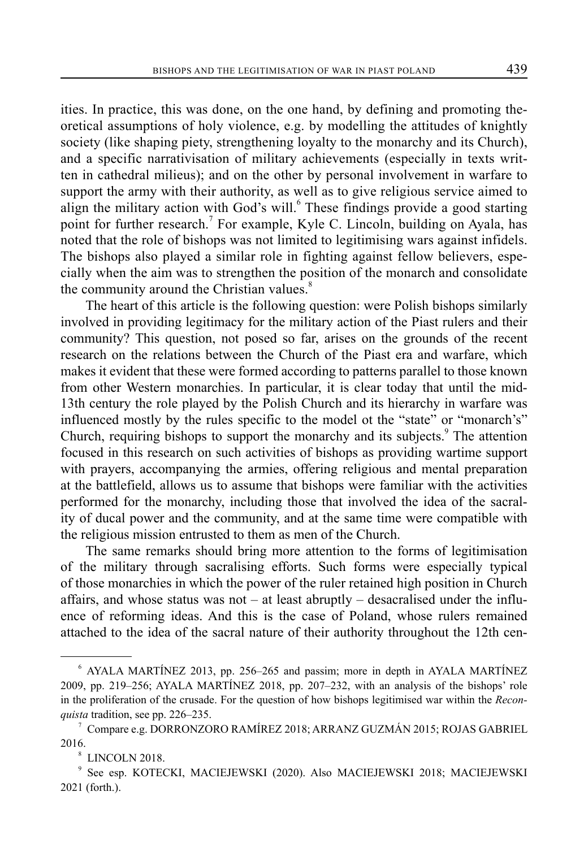ities. In practice, this was done, on the one hand, by defining and promoting theoretical assumptions of holy violence, e.g. by modelling the attitudes of knightly society (like shaping piety, strengthening loyalty to the monarchy and its Church), and a specific narrativisation of military achievements (especially in texts written in cathedral milieus); and on the other by personal involvement in warfare to support the army with their authority, as well as to give religious service aimed to align the military action with God's will.<sup>6</sup> These findings provide a good starting point for further research.<sup>7</sup> For example, Kyle C. Lincoln, building on Ayala, has noted that the role of bishops was not limited to legitimising wars against infidels. The bishops also played a similar role in fighting against fellow believers, especially when the aim was to strengthen the position of the monarch and consolidate the community around the Christian values.<sup>8</sup>

The heart of this article is the following question: were Polish bishops similarly involved in providing legitimacy for the military action of the Piast rulers and their community? This question, not posed so far, arises on the grounds of the recent research on the relations between the Church of the Piast era and warfare, which makes it evident that these were formed according to patterns parallel to those known from other Western monarchies. In particular, it is clear today that until the mid-13th century the role played by the Polish Church and its hierarchy in warfare was influenced mostly by the rules specific to the model ot the "state" or "monarch's" Church, requiring bishops to support the monarchy and its subjects.<sup>9</sup> The attention focused in this research on such activities of bishops as providing wartime support with prayers, accompanying the armies, offering religious and mental preparation at the battlefield, allows us to assume that bishops were familiar with the activities performed for the monarchy, including those that involved the idea of the sacrality of ducal power and the community, and at the same time were compatible with the religious mission entrusted to them as men of the Church.

The same remarks should bring more attention to the forms of legitimisation of the military through sacralising efforts. Such forms were especially typical of those monarchies in which the power of the ruler retained high position in Church affairs, and whose status was not  $-$  at least abruptly  $-$  desacralised under the influence of reforming ideas. And this is the case of Poland, whose rulers remained attached to the idea of the sacral nature of their authority throughout the 12th cen-

<sup>6</sup> AYALA MARTÍNEZ 2013, pp. 256–265 and passim; more in depth in AYALA MARTÍNEZ 2009, pp. 219–256; AYALA MARTÍNEZ 2018, pp. 207–232, with an analysis of the bishops' role in the proliferation of the crusade. For the question of how bishops legitimised war within the *Reconquista* tradition, see pp. 226–235.

 $^7$  Compare e.g. DORRONZORO RAMÍREZ 2018; ARRANZ GUZMÁN 2015; ROJAS GABRIEL 2016.

<sup>8</sup> LINCOLN 2018.

<sup>9</sup> See esp. KOTECKI, MACIEJEWSKI (2020). Also MACIEJEWSKI 2018; MACIEJEWSKI 2021 (forth.).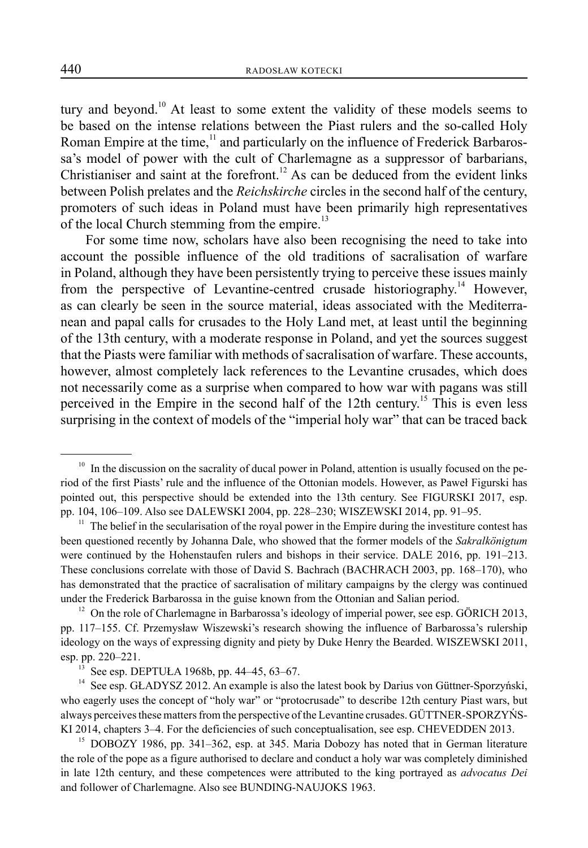tury and beyond.<sup>10</sup> At least to some extent the validity of these models seems to be based on the intense relations between the Piast rulers and the so-called Holy Roman Empire at the time,<sup>11</sup> and particularly on the influence of Frederick Barbarossa's model of power with the cult of Charlemagne as a suppressor of barbarians, Christianiser and saint at the forefront.<sup>12</sup> As can be deduced from the evident links between Polish prelates and the *Reichskirche* circles in the second half of the century, promoters of such ideas in Poland must have been primarily high representatives of the local Church stemming from the empire.<sup>13</sup>

For some time now, scholars have also been recognising the need to take into account the possible influence of the old traditions of sacralisation of warfare in Poland, although they have been persistently trying to perceive these issues mainly from the perspective of Levantine-centred crusade historiography.<sup>14</sup> However, as can clearly be seen in the source material, ideas associated with the Mediterranean and papal calls for crusades to the Holy Land met, at least until the beginning of the 13th century, with a moderate response in Poland, and yet the sources suggest that the Piasts were familiar with methods of sacralisation of warfare. These accounts, however, almost completely lack references to the Levantine crusades, which does not necessarily come as a surprise when compared to how war with pagans was still perceived in the Empire in the second half of the 12th century.<sup>15</sup> This is even less surprising in the context of models of the "imperial holy war" that can be traced back

<sup>&</sup>lt;sup>10</sup> In the discussion on the sacrality of ducal power in Poland, attention is usually focused on the period of the first Piasts' rule and the influence of the Ottonian models. However, as Paweł Figurski has pointed out, this perspective should be extended into the 13th century. See FIGURSKI 2017, esp. pp. 104, 106–109. Also see DALEWSKI 2004, pp. 228–230; WISZEWSKI 2014, pp. 91–95.

 $11$  The belief in the secularisation of the royal power in the Empire during the investiture contest has been questioned recently by Johanna Dale, who showed that the former models of the *Sakralkönigtum* were continued by the Hohenstaufen rulers and bishops in their service. DALE 2016, pp. 191–213. These conclusions correlate with those of David S. Bachrach (BACHRACH 2003, pp. 168–170), who has demonstrated that the practice of sacralisation of military campaigns by the clergy was continued under the Frederick Barbarossa in the guise known from the Ottonian and Salian period.

 $12$  On the role of Charlemagne in Barbarossa's ideology of imperial power, see esp. GÖRICH 2013, pp. 117–155. Cf. Przemysław Wiszewski's research showing the influence of Barbarossa's rulership ideology on the ways of expressing dignity and piety by Duke Henry the Bearded. WISZEWSKI 2011, esp. pp. 220–221.<br><sup>13</sup> See esp. DEPTUŁA 1968b, pp. 44–45, 63–67.

<sup>&</sup>lt;sup>14</sup> See esp. GŁADYSZ 2012. An example is also the latest book by Darius von Güttner-Sporzyński, who eagerly uses the concept of "holy war" or "protocrusade" to describe 12th century Piast wars, but always perceives these matters from the perspective of the Levantine crusades. GÜTTNER-SPORZYŃS-

KI 2014, chapters 3–4. For the deficiencies of such conceptualisation, see esp. CHEVEDDEN 2013.<br><sup>15</sup> DOBOZY 1986, pp. 341–362, esp. at 345. Maria Dobozy has noted that in German literature the role of the pope as a figure authorised to declare and conduct a holy war was completely diminished in late 12th century, and these competences were attributed to the king portrayed as *advocatus Dei* and follower of Charlemagne. Also see BUNDING-NAUJOKS 1963.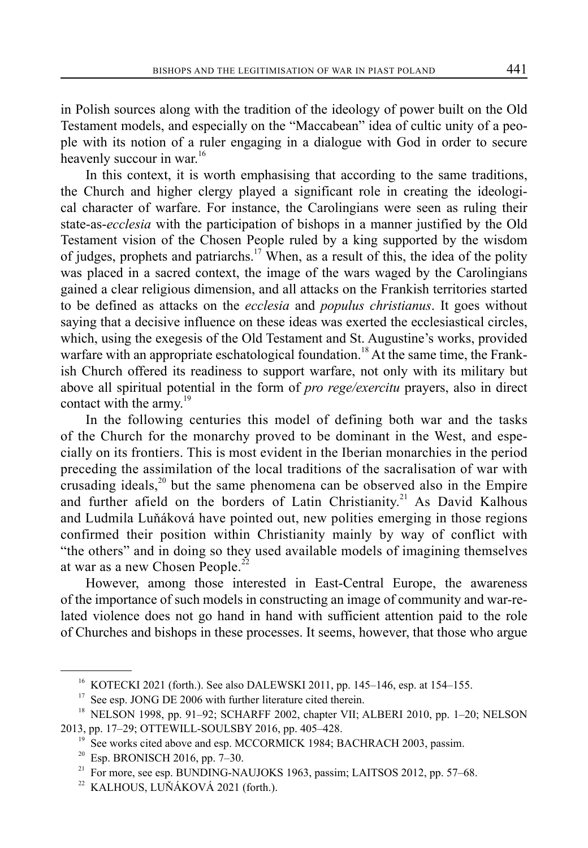in Polish sources along with the tradition of the ideology of power built on the Old Testament models, and especially on the "Maccabean" idea of cultic unity of a people with its notion of a ruler engaging in a dialogue with God in order to secure heavenly succour in war.<sup>16</sup>

In this context, it is worth emphasising that according to the same traditions, the Church and higher clergy played a significant role in creating the ideological character of warfare. For instance, the Carolingians were seen as ruling their state-as-*ecclesia* with the participation of bishops in a manner justified by the Old Testament vision of the Chosen People ruled by a king supported by the wisdom of judges, prophets and patriarchs.<sup>17</sup> When, as a result of this, the idea of the polity was placed in a sacred context, the image of the wars waged by the Carolingians gained a clear religious dimension, and all attacks on the Frankish territories started to be defined as attacks on the *ecclesia* and *populus christianus*. It goes without saying that a decisive influence on these ideas was exerted the ecclesiastical circles, which, using the exegesis of the Old Testament and St. Augustine's works, provided warfare with an appropriate eschatological foundation.<sup>18</sup> At the same time, the Frankish Church offered its readiness to support warfare, not only with its military but above all spiritual potential in the form of *pro rege/exercitu* prayers, also in direct contact with the army.<sup>19</sup>

In the following centuries this model of defining both war and the tasks of the Church for the monarchy proved to be dominant in the West, and especially on its frontiers. This is most evident in the Iberian monarchies in the period preceding the assimilation of the local traditions of the sacralisation of war with crusading ideals, $20$  but the same phenomena can be observed also in the Empire and further afield on the borders of Latin Christianity.<sup>21</sup> As David Kalhous and Ludmila Luňáková have pointed out, new polities emerging in those regions confirmed their position within Christianity mainly by way of conflict with "the others" and in doing so they used available models of imagining themselves at war as a new Chosen People.<sup>22</sup>

However, among those interested in East-Central Europe, the awareness of the importance of such models in constructing an image of community and war-related violence does not go hand in hand with sufficient attention paid to the role of Churches and bishops in these processes. It seems, however, that those who argue

<sup>16</sup> KOTECKI 2021 (forth.). See also DALEWSKI 2011, pp. 145–146, esp. at 154–155.

See esp. JONG DE 2006 with further literature cited therein.

<sup>&</sup>lt;sup>18</sup> NELSON 1998, pp. 91-92; SCHARFF 2002, chapter VII; ALBERI 2010, pp. 1-20; NELSON 2013, pp. 17–29; OTTEWILL-SOULSBY 2016, pp. 405–428.<br><sup>19</sup> See works cited above and esp. MCCORMICK 1984; BACHRACH 2003, passim.

<sup>20</sup> Esp. BRONISCH 2016, pp. 7–30.

 $21$  For more, see esp. BUNDING-NAUJOKS 1963, passim; LAITSOS 2012, pp. 57–68.

<sup>&</sup>lt;sup>22</sup> KALHOUS, LUŇÁKOVÁ 2021 (forth.).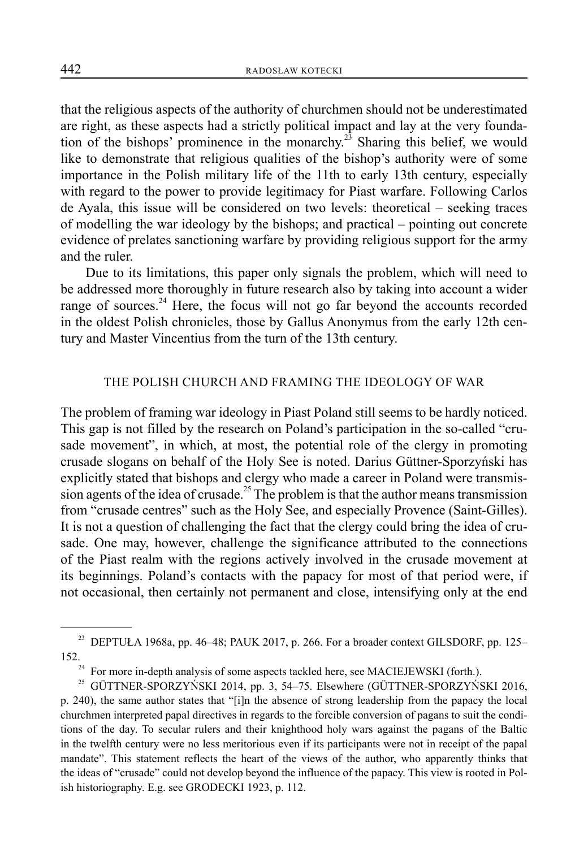that the religious aspects of the authority of churchmen should not be underestimated are right, as these aspects had a strictly political impact and lay at the very foundation of the bishops' prominence in the monarchy.<sup>23</sup> Sharing this belief, we would like to demonstrate that religious qualities of the bishop's authority were of some importance in the Polish military life of the 11th to early 13th century, especially with regard to the power to provide legitimacy for Piast warfare. Following Carlos de Ayala, this issue will be considered on two levels: theoretical – seeking traces of modelling the war ideology by the bishops; and practical ‒ pointing out concrete evidence of prelates sanctioning warfare by providing religious support for the army and the ruler.

Due to its limitations, this paper only signals the problem, which will need to be addressed more thoroughly in future research also by taking into account a wider range of sources. $^{24}$  Here, the focus will not go far beyond the accounts recorded in the oldest Polish chronicles, those by Gallus Anonymus from the early 12th century and Master Vincentius from the turn of the 13th century.

# THE POLISH CHURCH AND FRAMING THE IDEOLOGY OF WAR

The problem of framing war ideology in Piast Poland still seems to be hardly noticed. This gap is not filled by the research on Poland's participation in the so-called "crusade movement", in which, at most, the potential role of the clergy in promoting crusade slogans on behalf of the Holy See is noted. Darius Güttner-Sporzyński has explicitly stated that bishops and clergy who made a career in Poland were transmission agents of the idea of crusade.<sup>25</sup> The problem is that the author means transmission from "crusade centres" such as the Holy See, and especially Provence (Saint-Gilles). It is not a question of challenging the fact that the clergy could bring the idea of crusade. One may, however, challenge the significance attributed to the connections of the Piast realm with the regions actively involved in the crusade movement at its beginnings. Poland's contacts with the papacy for most of that period were, if not occasional, then certainly not permanent and close, intensifying only at the end

<sup>&</sup>lt;sup>23</sup> DEPTUŁA 1968a, pp. 46–48; PAUK 2017, p. 266. For a broader context GILSDORF, pp. 125–

<sup>&</sup>lt;sup>24</sup> For more in-depth analysis of some aspects tackled here, see MACIEJEWSKI (forth.).<br><sup>25</sup> GÜTTNER-SPORZYŃSKI 2014, pp. 3, 54–75. Elsewhere (GÜTTNER-SPORZYŃS

<sup>25</sup> GÜTTNER-SPORZYŃSKI 2014, pp. 3, 54–75. Elsewhere (GÜTTNER-SPORZYŃSKI 2016, p. 240), the same author states that "[i]n the absence of strong leadership from the papacy the local churchmen interpreted papal directives in regards to the forcible conversion of pagans to suit the conditions of the day. To secular rulers and their knighthood holy wars against the pagans of the Baltic in the twelfth century were no less meritorious even if its participants were not in receipt of the papal mandate". This statement reflects the heart of the views of the author, who apparently thinks that the ideas of "crusade" could not develop beyond the influence of the papacy. This view is rooted in Polish historiography. E.g. see GRODECKI 1923, p. 112.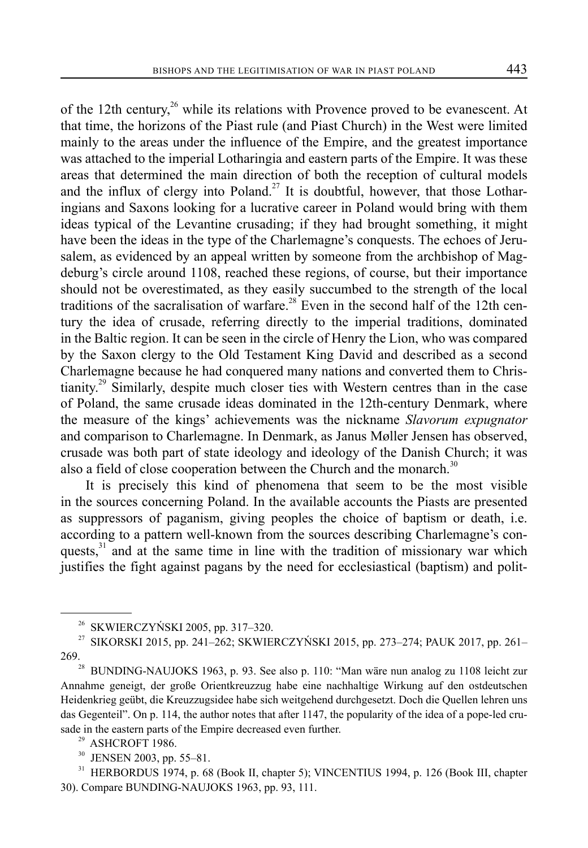of the 12th century,<sup>26</sup> while its relations with Provence proved to be evanescent. At that time, the horizons of the Piast rule (and Piast Church) in the West were limited mainly to the areas under the influence of the Empire, and the greatest importance was attached to the imperial Lotharingia and eastern parts of the Empire. It was these areas that determined the main direction of both the reception of cultural models and the influx of clergy into Poland.<sup>27</sup> It is doubtful, however, that those Lotharingians and Saxons looking for a lucrative career in Poland would bring with them ideas typical of the Levantine crusading; if they had brought something, it might have been the ideas in the type of the Charlemagne's conquests. The echoes of Jerusalem, as evidenced by an appeal written by someone from the archbishop of Magdeburg's circle around 1108, reached these regions, of course, but their importance should not be overestimated, as they easily succumbed to the strength of the local traditions of the sacralisation of warfare.<sup>28</sup> Even in the second half of the 12th century the idea of crusade, referring directly to the imperial traditions, dominated in the Baltic region. It can be seen in the circle of Henry the Lion, who was compared by the Saxon clergy to the Old Testament King David and described as a second Charlemagne because he had conquered many nations and converted them to Chris- $\mu$ <sup>29</sup> Similarly, despite much closer ties with Western centres than in the case of Poland, the same crusade ideas dominated in the 12th-century Denmark, where the measure of the kings' achievements was the nickname *Slavorum expugnator* and comparison to Charlemagne. In Denmark, as Janus Møller Jensen has observed, crusade was both part of state ideology and ideology of the Danish Church; it was also a field of close cooperation between the Church and the monarch. $30$ 

It is precisely this kind of phenomena that seem to be the most visible in the sources concerning Poland. In the available accounts the Piasts are presented as suppressors of paganism, giving peoples the choice of baptism or death, i.e. according to a pattern well-known from the sources describing Charlemagne's conquests,<sup>31</sup> and at the same time in line with the tradition of missionary war which justifies the fight against pagans by the need for ecclesiastical (baptism) and polit-

30 JENSEN 2003, pp. 55–81.

<sup>&</sup>lt;sup>26</sup> SKWIERCZYŃSKI 2005, pp. 317–320.<br><sup>27</sup> SIKORSKI 2015, pp. 241–262: SKWIE

<sup>27</sup> SIKORSKI 2015, pp. 241–262; SKWIERCZYŃSKI 2015, pp. 273–274; PAUK 2017, pp. 261– 269.<br><sup>28</sup> BUNDING-NAUJOKS 1963, p. 93. See also p. 110: "Man wäre nun analog zu 1108 leicht zur

Annahme geneigt, der große Orientkreuzzug habe eine nachhaltige Wirkung auf den ostdeutschen Heidenkrieg geübt, die Kreuzzugsidee habe sich weitgehend durchgesetzt. Doch die Quellen lehren uns das Gegenteil". On p. 114, the author notes that after 1147, the popularity of the idea of a pope-led crusade in the eastern parts of the Empire decreased even further.<br><sup>29</sup> ASHCROFT 1986.

<sup>31</sup> HERBORDUS 1974, p. 68 (Book II, chapter 5); VINCENTIUS 1994, p. 126 (Book III, chapter 30). Compare BUNDING-NAUJOKS 1963, pp. 93, 111.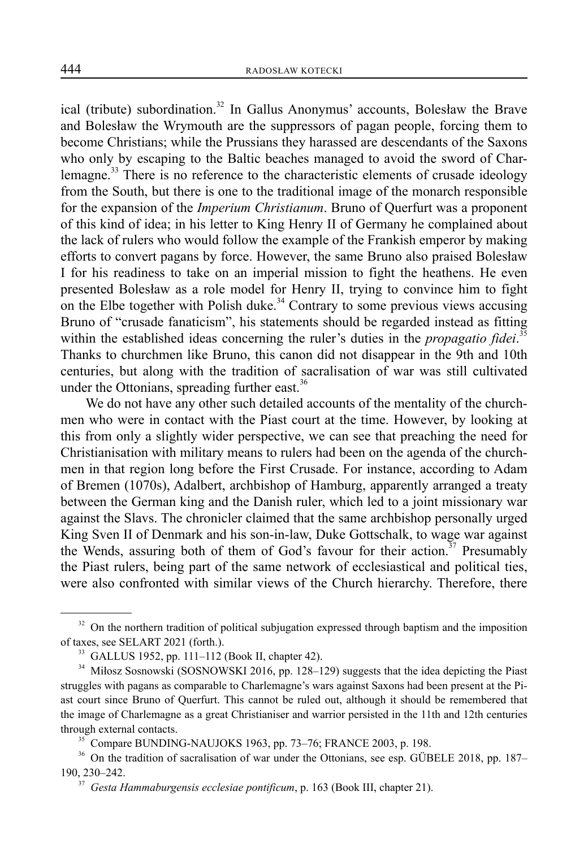ical (tribute) subordination.<sup>32</sup> In Gallus Anonymus' accounts, Bolesław the Brave and Bolesław the Wrymouth are the suppressors of pagan people, forcing them to become Christians; while the Prussians they harassed are descendants of the Saxons who only by escaping to the Baltic beaches managed to avoid the sword of Charlemagne.<sup>33</sup> There is no reference to the characteristic elements of crusade ideology from the South, but there is one to the traditional image of the monarch responsible for the expansion of the *Imperium Christianum*. Bruno of Querfurt was a proponent of this kind of idea; in his letter to King Henry II of Germany he complained about the lack of rulers who would follow the example of the Frankish emperor by making efforts to convert pagans by force. However, the same Bruno also praised Bolesław I for his readiness to take on an imperial mission to fight the heathens. He even presented Bolesław as a role model for Henry II, trying to convince him to fight on the Elbe together with Polish duke.<sup>34</sup> Contrary to some previous views accusing Bruno of "crusade fanaticism", his statements should be regarded instead as fitting within the established ideas concerning the ruler's duties in the *propagatio fidei*.<sup>35</sup> Thanks to churchmen like Bruno, this canon did not disappear in the 9th and 10th centuries, but along with the tradition of sacralisation of war was still cultivated under the Ottonians, spreading further east.<sup>36</sup>

We do not have any other such detailed accounts of the mentality of the churchmen who were in contact with the Piast court at the time. However, by looking at this from only a slightly wider perspective, we can see that preaching the need for Christianisation with military means to rulers had been on the agenda of the churchmen in that region long before the First Crusade. For instance, according to Adam of Bremen (1070s), Adalbert, archbishop of Hamburg, apparently arranged a treaty between the German king and the Danish ruler, which led to a joint missionary war against the Slavs. The chronicler claimed that the same archbishop personally urged King Sven II of Denmark and his son-in-law, Duke Gottschalk, to wage war against the Wends, assuring both of them of God's favour for their action.<sup>37</sup> Presumably the Piast rulers, being part of the same network of ecclesiastical and political ties, were also confronted with similar views of the Church hierarchy. Therefore, there

<sup>&</sup>lt;sup>32</sup> On the northern tradition of political subjugation expressed through baptism and the imposition of taxes, see SELART 2021 (forth.).

<sup>33</sup> GALLUS 1952, pp. 111–112 (Book II, chapter 42).

<sup>&</sup>lt;sup>34</sup> Miłosz Sosnowski (SOSNOWSKI 2016, pp. 128-129) suggests that the idea depicting the Piast struggles with pagans as comparable to Charlemagne's wars against Saxons had been present at the Piast court since Bruno of Querfurt. This cannot be ruled out, although it should be remembered that the image of Charlemagne as a great Christianiser and warrior persisted in the 11th and 12th centuries through external contacts.

<sup>&</sup>lt;sup>35</sup> Compare BUNDING-NAUJOKS 1963, pp. 73-76; FRANCE 2003, p. 198.

<sup>&</sup>lt;sup>36</sup> On the tradition of sacralisation of war under the Ottonians, see esp. GÜBELE 2018, pp. 187– 190, 230–242.

<sup>37</sup> *Gesta Hammaburgensis ecclesiae pontificum*, p. 163 (Book III, chapter 21).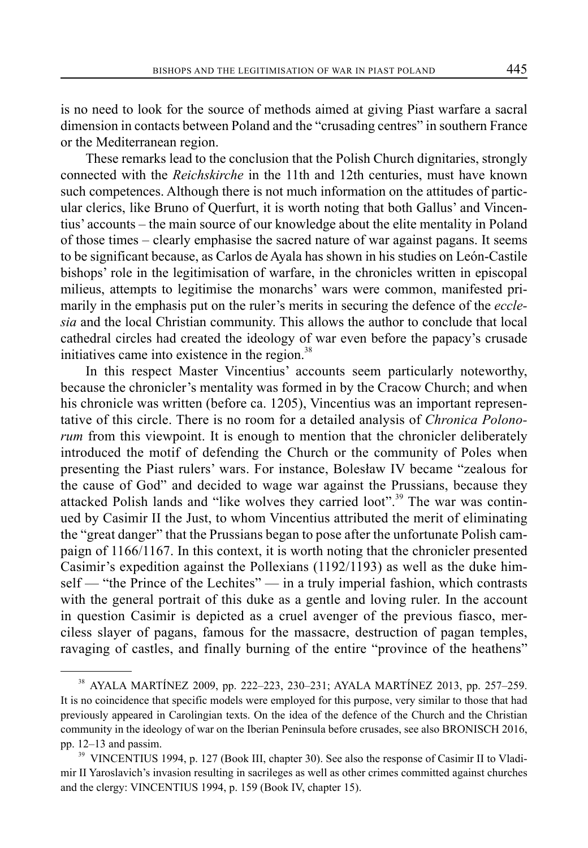is no need to look for the source of methods aimed at giving Piast warfare a sacral dimension in contacts between Poland and the "crusading centres" in southern France or the Mediterranean region.

These remarks lead to the conclusion that the Polish Church dignitaries, strongly connected with the *Reichskirche* in the 11th and 12th centuries, must have known such competences. Although there is not much information on the attitudes of particular clerics, like Bruno of Querfurt, it is worth noting that both Gallus' and Vincentius' accounts – the main source of our knowledge about the elite mentality in Poland of those times ‒ clearly emphasise the sacred nature of war against pagans. It seems to be significant because, as Carlos de Ayala has shown in his studies on León-Castile bishops' role in the legitimisation of warfare, in the chronicles written in episcopal milieus, attempts to legitimise the monarchs' wars were common, manifested primarily in the emphasis put on the ruler's merits in securing the defence of the *ecclesia* and the local Christian community. This allows the author to conclude that local cathedral circles had created the ideology of war even before the papacy's crusade initiatives came into existence in the region. $38$ 

In this respect Master Vincentius' accounts seem particularly noteworthy, because the chronicler's mentality was formed in by the Cracow Church; and when his chronicle was written (before ca. 1205), Vincentius was an important representative of this circle. There is no room for a detailed analysis of *Chronica Polonorum* from this viewpoint. It is enough to mention that the chronicler deliberately introduced the motif of defending the Church or the community of Poles when presenting the Piast rulers' wars. For instance, Bolesław IV became "zealous for the cause of God" and decided to wage war against the Prussians, because they attacked Polish lands and "like wolves they carried loot".<sup>39</sup> The war was continued by Casimir II the Just, to whom Vincentius attributed the merit of eliminating the "great danger" that the Prussians began to pose after the unfortunate Polish campaign of 1166/1167. In this context, it is worth noting that the chronicler presented Casimir's expedition against the Pollexians (1192/1193) as well as the duke himself — "the Prince of the Lechites" — in a truly imperial fashion, which contrasts with the general portrait of this duke as a gentle and loving ruler. In the account in question Casimir is depicted as a cruel avenger of the previous fiasco, merciless slayer of pagans, famous for the massacre, destruction of pagan temples, ravaging of castles, and finally burning of the entire "province of the heathens"

<sup>38</sup> AYALA MARTÍNEZ 2009, pp. 222–223, 230–231; AYALA MARTÍNEZ 2013, pp. 257–259. It is no coincidence that specific models were employed for this purpose, very similar to those that had previously appeared in Carolingian texts. On the idea of the defence of the Church and the Christian community in the ideology of war on the Iberian Peninsula before crusades, see also BRONISCH 2016, pp. 12–13 and passim.

<sup>&</sup>lt;sup>39</sup> VINCENTIUS 1994, p. 127 (Book III, chapter 30). See also the response of Casimir II to Vladimir II Yaroslavich's invasion resulting in sacrileges as well as other crimes committed against churches and the clergy: VINCENTIUS 1994, p. 159 (Book IV, chapter 15).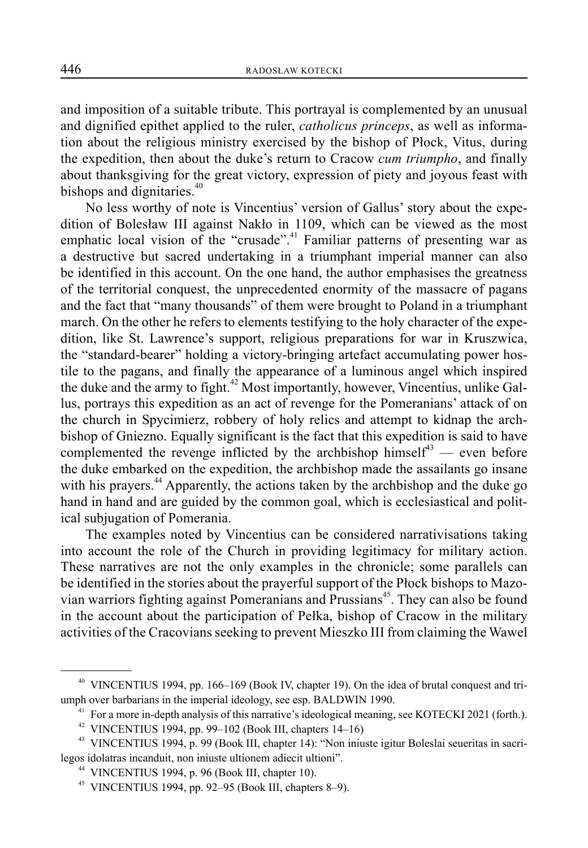and imposition of a suitable tribute. This portrayal is complemented by an unusual and dignified epithet applied to the ruler, *catholicus princeps*, as well as information about the religious ministry exercised by the bishop of Płock, Vitus, during the expedition, then about the duke's return to Cracow *cum triumpho*, and finally about thanksgiving for the great victory, expression of piety and joyous feast with bishops and dignitaries.<sup>40</sup>

No less worthy of note is Vincentius' version of Gallus' story about the expedition of Bolesław III against Nakło in 1109, which can be viewed as the most emphatic local vision of the "crusade".<sup>41</sup> Familiar patterns of presenting war as a destructive but sacred undertaking in a triumphant imperial manner can also be identified in this account. On the one hand, the author emphasises the greatness of the territorial conquest, the unprecedented enormity of the massacre of pagans and the fact that "many thousands" of them were brought to Poland in a triumphant march. On the other he refers to elements testifying to the holy character of the expedition, like St. Lawrence's support, religious preparations for war in Kruszwica, the "standard-bearer" holding a victory-bringing artefact accumulating power hostile to the pagans, and finally the appearance of a luminous angel which inspired the duke and the army to fight.<sup>42</sup> Most importantly, however, Vincentius, unlike Gallus, portrays this expedition as an act of revenge for the Pomeranians' attack of on the church in Spycimierz, robbery of holy relics and attempt to kidnap the archbishop of Gniezno. Equally significant is the fact that this expedition is said to have complemented the revenge inflicted by the archbishop himself<sup>43</sup> — even before the duke embarked on the expedition, the archbishop made the assailants go insane with his prayers. $44$  Apparently, the actions taken by the archbishop and the duke go hand in hand and are guided by the common goal, which is ecclesiastical and political subjugation of Pomerania.

The examples noted by Vincentius can be considered narrativisations taking into account the role of the Church in providing legitimacy for military action. These narratives are not the only examples in the chronicle; some parallels can be identified in the stories about the prayerful support of the Płock bishops to Mazovian warriors fighting against Pomeranians and  $\overline{P}$ russians<sup>45</sup>. They can also be found in the account about the participation of Pełka, bishop of Cracow in the military activities of the Cracovians seeking to prevent Mieszko III from claiming the Wawel

<sup>40</sup> VINCENTIUS 1994, pp. 166–169 (Book IV, chapter 19). On the idea of brutal conquest and triumph over barbarians in the imperial ideology, see esp. BALDWIN 1990.<br><sup>41</sup> For a more in-depth analysis of this narrative's ideological meaning, see KOTECKI 2021 (forth.).

 $42$  VINCENTIUS 1994, pp. 99-102 (Book III, chapters 14-16)

<sup>&</sup>lt;sup>43</sup> VINCENTIUS 1994, p. 99 (Book III, chapter 14): "Non iniuste igitur Boleslai seueritas in sacrilegos idolatras incanduit, non iniuste ultionem adiecit ultioni".

 $44$  VINCENTIUS 1994, p. 96 (Book III, chapter 10).

<sup>45</sup> VINCENTIUS 1994, pp. 92–95 (Book III, chapters 8–9).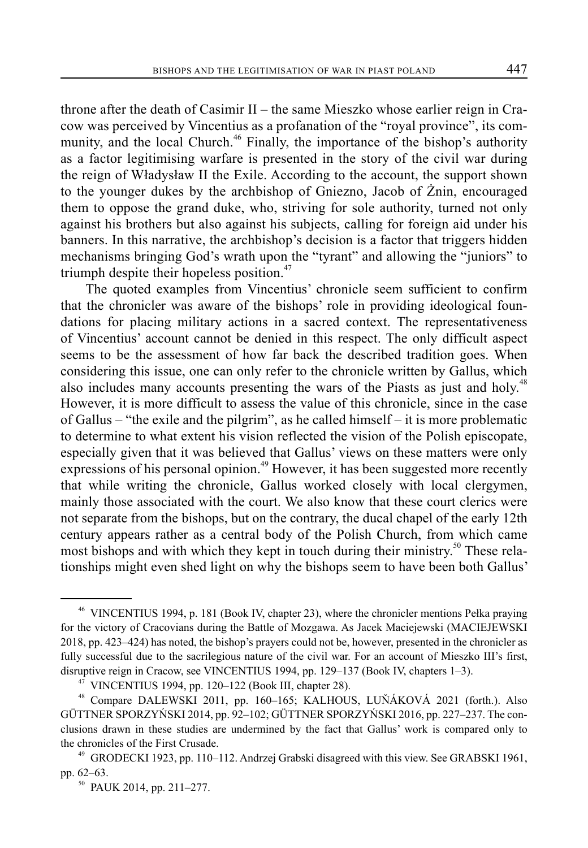throne after the death of Casimir  $II$  – the same Mieszko whose earlier reign in Cracow was perceived by Vincentius as a profanation of the "royal province", its community, and the local Church.<sup>46</sup> Finally, the importance of the bishop's authority as a factor legitimising warfare is presented in the story of the civil war during the reign of Władysław II the Exile. According to the account, the support shown to the younger dukes by the archbishop of Gniezno, Jacob of Żnin, encouraged them to oppose the grand duke, who, striving for sole authority, turned not only against his brothers but also against his subjects, calling for foreign aid under his banners. In this narrative, the archbishop's decision is a factor that triggers hidden mechanisms bringing God's wrath upon the "tyrant" and allowing the "juniors" to triumph despite their hopeless position. $47$ 

The quoted examples from Vincentius' chronicle seem sufficient to confirm that the chronicler was aware of the bishops' role in providing ideological foundations for placing military actions in a sacred context. The representativeness of Vincentius' account cannot be denied in this respect. The only difficult aspect seems to be the assessment of how far back the described tradition goes. When considering this issue, one can only refer to the chronicle written by Gallus, which also includes many accounts presenting the wars of the Piasts as just and holy.<sup>48</sup> However, it is more difficult to assess the value of this chronicle, since in the case of Gallus  $-$  "the exile and the pilgrim", as he called himself  $-$  it is more problematic to determine to what extent his vision reflected the vision of the Polish episcopate, especially given that it was believed that Gallus' views on these matters were only expressions of his personal opinion.<sup>49</sup> However, it has been suggested more recently that while writing the chronicle, Gallus worked closely with local clergymen, mainly those associated with the court. We also know that these court clerics were not separate from the bishops, but on the contrary, the ducal chapel of the early 12th century appears rather as a central body of the Polish Church, from which came most bishops and with which they kept in touch during their ministry.<sup>50</sup> These relationships might even shed light on why the bishops seem to have been both Gallus'

<sup>46</sup> VINCENTIUS 1994, p. 181 (Book IV, chapter 23), where the chronicler mentions Pełka praying for the victory of Cracovians during the Battle of Mozgawa. As Jacek Maciejewski (MACIEJEWSKI 2018, pp. 423–424) has noted, the bishop's prayers could not be, however, presented in the chronicler as fully successful due to the sacrilegious nature of the civil war. For an account of Mieszko III's first, disruptive reign in Cracow, see VINCENTIUS 1994, pp. 129–137 (Book IV, chapters 1–3).

 $47$  VINCENTIUS 1994, pp. 120–122 (Book III, chapter 28).

<sup>48</sup> Compare DALEWSKI 2011, pp. 160–165; KALHOUS, LUŇÁKOVÁ 2021 (forth.). Also GÜTTNER SPORZYŃSKI 2014, pp. 92–102; GÜTTNER SPORZYŃSKI 2016, pp. 227–237. The conclusions drawn in these studies are undermined by the fact that Gallus' work is compared only to the chronicles of the First Crusade.<br><sup>49</sup> GRODECKI 1923, pp. 110–112. Andrzej Grabski disagreed with this view. See GRABSKI 1961,

pp. 62–63.<br><sup>50</sup> PAUK 2014, pp. 211–277.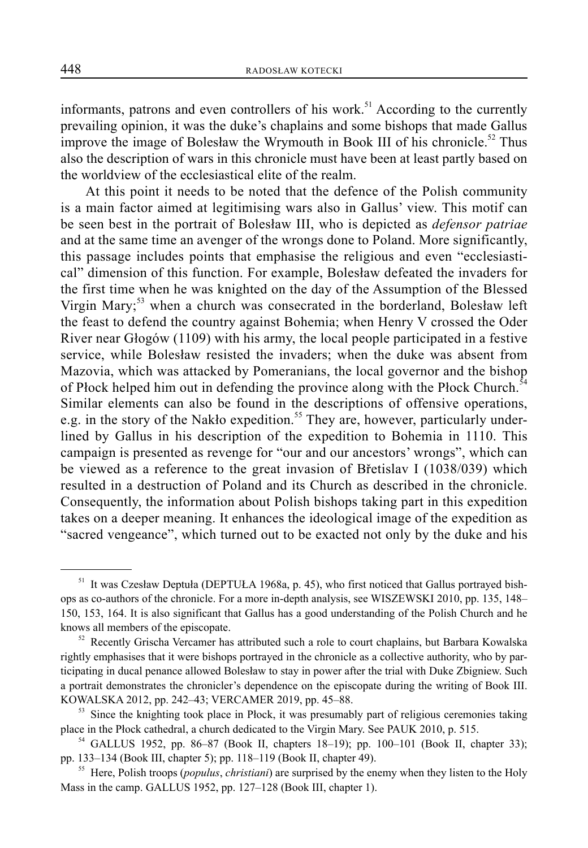informants, patrons and even controllers of his work.<sup>51</sup> According to the currently prevailing opinion, it was the duke's chaplains and some bishops that made Gallus improve the image of Bolesław the Wrymouth in Book III of his chronicle.<sup>52</sup> Thus also the description of wars in this chronicle must have been at least partly based on the worldview of the ecclesiastical elite of the realm.

At this point it needs to be noted that the defence of the Polish community is a main factor aimed at legitimising wars also in Gallus' view. This motif can be seen best in the portrait of Bolesław III, who is depicted as *defensor patriae* and at the same time an avenger of the wrongs done to Poland. More significantly, this passage includes points that emphasise the religious and even "ecclesiastical" dimension of this function. For example, Bolesław defeated the invaders for the first time when he was knighted on the day of the Assumption of the Blessed Virgin Mary;<sup>53</sup> when a church was consecrated in the borderland, Bolesław left the feast to defend the country against Bohemia; when Henry V crossed the Oder River near Głogów (1109) with his army, the local people participated in a festive service, while Bolesław resisted the invaders; when the duke was absent from Mazovia, which was attacked by Pomeranians, the local governor and the bishop of Płock helped him out in defending the province along with the Płock Church.<sup>54</sup> Similar elements can also be found in the descriptions of offensive operations, e.g. in the story of the Nakło expedition.<sup>55</sup> They are, however, particularly underlined by Gallus in his description of the expedition to Bohemia in 1110. This campaign is presented as revenge for "our and our ancestors' wrongs", which can be viewed as a reference to the great invasion of Břetislav I (1038/039) which resulted in a destruction of Poland and its Church as described in the chronicle. Consequently, the information about Polish bishops taking part in this expedition takes on a deeper meaning. It enhances the ideological image of the expedition as "sacred vengeance", which turned out to be exacted not only by the duke and his

<sup>51</sup> It was Czesław Deptuła (DEPTUŁA 1968a, p. 45), who first noticed that Gallus portrayed bishops as co-authors of the chronicle. For a more in-depth analysis, see WISZEWSKI 2010, pp. 135, 148– 150, 153, 164. It is also significant that Gallus has a good understanding of the Polish Church and he knows all members of the episcopate.<br><sup>52</sup> Recently Grischa Vercamer has attributed such a role to court chaplains, but Barbara Kowalska

rightly emphasises that it were bishops portrayed in the chronicle as a collective authority, who by participating in ducal penance allowed Bolesław to stay in power after the trial with Duke Zbigniew. Such a portrait demonstrates the chronicler's dependence on the episcopate during the writing of Book III. KOWALSKA 2012, pp. 242–43; VERCAMER 2019, pp. 45–88.

<sup>&</sup>lt;sup>53</sup> Since the knighting took place in Płock, it was presumably part of religious ceremonies taking place in the Płock cathedral, a church dedicated to the Virgin Mary. See PAUK 2010, p. 515.

<sup>&</sup>lt;sup>54</sup> GALLUS 1952, pp. 86-87 (Book II, chapters 18-19); pp. 100-101 (Book II, chapter 33); pp. 133–134 (Book III, chapter 5); pp. 118–119 (Book II, chapter 49).

<sup>55</sup> Here, Polish troops (*populus*, *christiani*) are surprised by the enemy when they listen to the Holy Mass in the camp. GALLUS 1952, pp. 127–128 (Book III, chapter 1).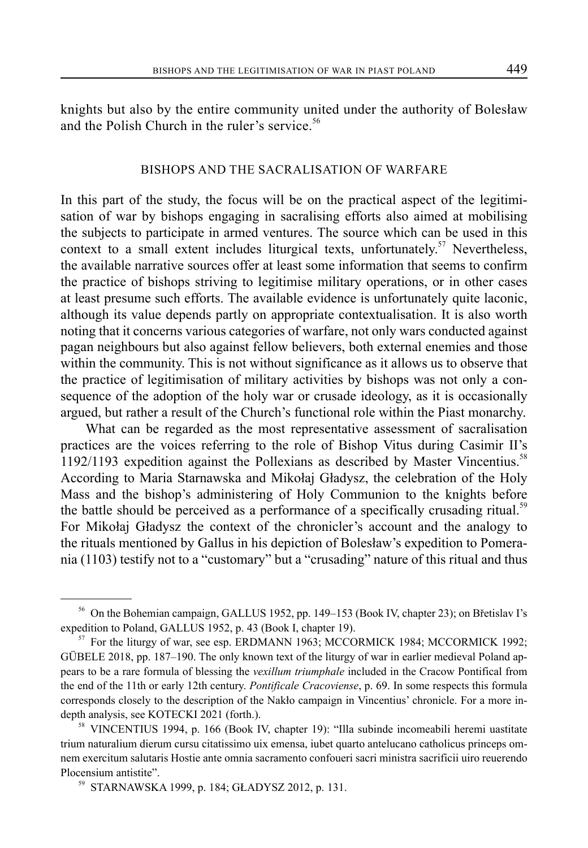knights but also by the entire community united under the authority of Bolesław and the Polish Church in the ruler's service.<sup>56</sup>

# BISHOPS AND THE SACRALISATION OF WARFARE

In this part of the study, the focus will be on the practical aspect of the legitimisation of war by bishops engaging in sacralising efforts also aimed at mobilising the subjects to participate in armed ventures. The source which can be used in this context to a small extent includes liturgical texts, unfortunately.<sup>57</sup> Nevertheless, the available narrative sources offer at least some information that seems to confirm the practice of bishops striving to legitimise military operations, or in other cases at least presume such efforts. The available evidence is unfortunately quite laconic, although its value depends partly on appropriate contextualisation. It is also worth noting that it concerns various categories of warfare, not only wars conducted against pagan neighbours but also against fellow believers, both external enemies and those within the community. This is not without significance as it allows us to observe that the practice of legitimisation of military activities by bishops was not only a consequence of the adoption of the holy war or crusade ideology, as it is occasionally argued, but rather a result of the Church's functional role within the Piast monarchy.

What can be regarded as the most representative assessment of sacralisation practices are the voices referring to the role of Bishop Vitus during Casimir II's 1192/1193 expedition against the Pollexians as described by Master Vincentius.<sup>58</sup> According to Maria Starnawska and Mikołaj Gładysz, the celebration of the Holy Mass and the bishop's administering of Holy Communion to the knights before the battle should be perceived as a performance of a specifically crusading ritual.<sup>59</sup> For Mikołaj Gładysz the context of the chronicler's account and the analogy to the rituals mentioned by Gallus in his depiction of Bolesław's expedition to Pomerania (1103) testify not to a "customary" but a "crusading" nature of this ritual and thus

<sup>56</sup> On the Bohemian campaign, GALLUS 1952, pp. 149–153 (Book IV, chapter 23); on Břetislav I's expedition to Poland, GALLUS 1952, p. 43 (Book I, chapter 19).<br><sup>57</sup> For the liturgy of war, see esp. ERDMANN 1963; MCCORMICK 1984; MCCORMICK 1992;

GÜBELE 2018, pp. 187–190. The only known text of the liturgy of war in earlier medieval Poland appears to be a rare formula of blessing the *vexillum triumphale* included in the Cracow Pontifical from the end of the 11th or early 12th century. *Pontificale Cracoviense*, p. 69. In some respects this formula corresponds closely to the description of the Nakło campaign in Vincentius' chronicle. For a more indepth analysis, see KOTECKI 2021 (forth.).

<sup>58</sup> VINCENTIUS 1994, p. 166 (Book IV, chapter 19): "Illa subinde incomeabili heremi uastitate trium naturalium dierum cursu citatissimo uix emensa, iubet quarto antelucano catholicus princeps omnem exercitum salutaris Hostie ante omnia sacramento confoueri sacri ministra sacrificii uiro reuerendo Plocensium antistite".

<sup>59</sup> STARNAWSKA 1999, p. 184; GŁADYSZ 2012, p. 131.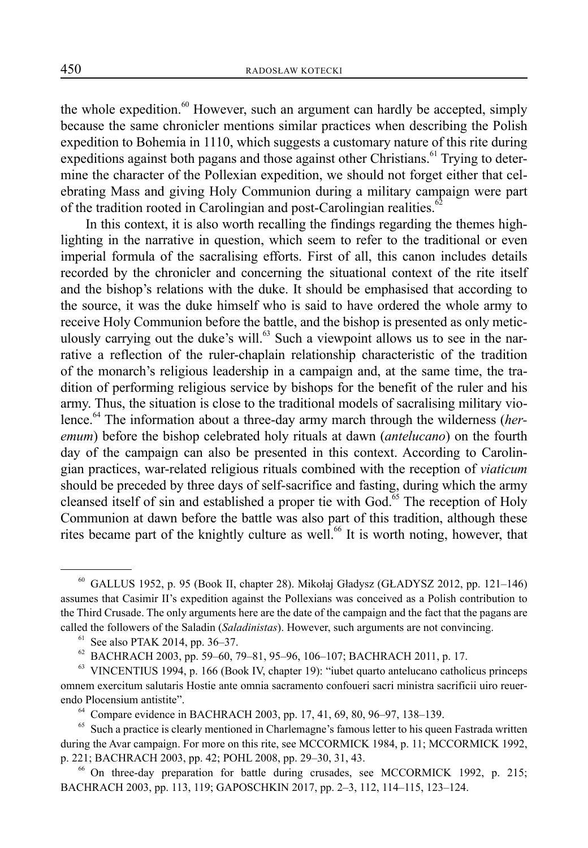the whole expedition. $60$  However, such an argument can hardly be accepted, simply because the same chronicler mentions similar practices when describing the Polish expedition to Bohemia in 1110, which suggests a customary nature of this rite during expeditions against both pagans and those against other Christians.<sup>61</sup> Trying to determine the character of the Pollexian expedition, we should not forget either that celebrating Mass and giving Holy Communion during a military campaign were part of the tradition rooted in Carolingian and post-Carolingian realities.<sup>62</sup>

In this context, it is also worth recalling the findings regarding the themes highlighting in the narrative in question, which seem to refer to the traditional or even imperial formula of the sacralising efforts. First of all, this canon includes details recorded by the chronicler and concerning the situational context of the rite itself and the bishop's relations with the duke. It should be emphasised that according to the source, it was the duke himself who is said to have ordered the whole army to receive Holy Communion before the battle, and the bishop is presented as only meticulously carrying out the duke's will.<sup>63</sup> Such a viewpoint allows us to see in the narrative a reflection of the ruler-chaplain relationship characteristic of the tradition of the monarch's religious leadership in a campaign and, at the same time, the tradition of performing religious service by bishops for the benefit of the ruler and his army. Thus, the situation is close to the traditional models of sacralising military violence.<sup>64</sup> The information about a three-day army march through the wilderness (*heremum*) before the bishop celebrated holy rituals at dawn (*antelucano*) on the fourth day of the campaign can also be presented in this context. According to Carolingian practices, war-related religious rituals combined with the reception of *viaticum* should be preceded by three days of self-sacrifice and fasting, during which the army cleansed itself of sin and established a proper tie with  $God<sup>65</sup>$ . The reception of Holy Communion at dawn before the battle was also part of this tradition, although these rites became part of the knightly culture as well.<sup>66</sup> It is worth noting, however, that

<sup>60</sup> GALLUS 1952, p. 95 (Book II, chapter 28). Mikołaj Gładysz (GŁADYSZ 2012, pp. 121–146) assumes that Casimir II's expedition against the Pollexians was conceived as a Polish contribution to the Third Crusade. The only arguments here are the date of the campaign and the fact that the pagans are called the followers of the Saladin (*Saladinistas*). However, such arguments are not convincing.

 $61$  See also PTAK 2014, pp. 36–37.

 $^{62}$  BACHRACH 2003, pp. 59–60, 79–81, 95–96, 106–107; BACHRACH 2011, p. 17.

 $63$  VINCENTIUS 1994, p. 166 (Book IV, chapter 19): "iubet quarto antelucano catholicus princeps omnem exercitum salutaris Hostie ante omnia sacramento confoueri sacri ministra sacrificii uiro reuerendo Plocensium antistite".

<sup>64</sup> Compare evidence in BACHRACH 2003, pp. 17, 41, 69, 80, 96–97, 138–139.

 $65$  Such a practice is clearly mentioned in Charlemagne's famous letter to his queen Fastrada written during the Avar campaign. For more on this rite, see MCCORMICK 1984, p. 11; MCCORMICK 1992, p. 221; BACHRACH 2003, pp. 42; POHL 2008, pp. 29–30, 31, 43.

<sup>66</sup> On three-day preparation for battle during crusades, see MCCORMICK 1992, p. 215; BACHRACH 2003, pp. 113, 119; GAPOSCHKIN 2017, pp. 2–3, 112, 114–115, 123–124.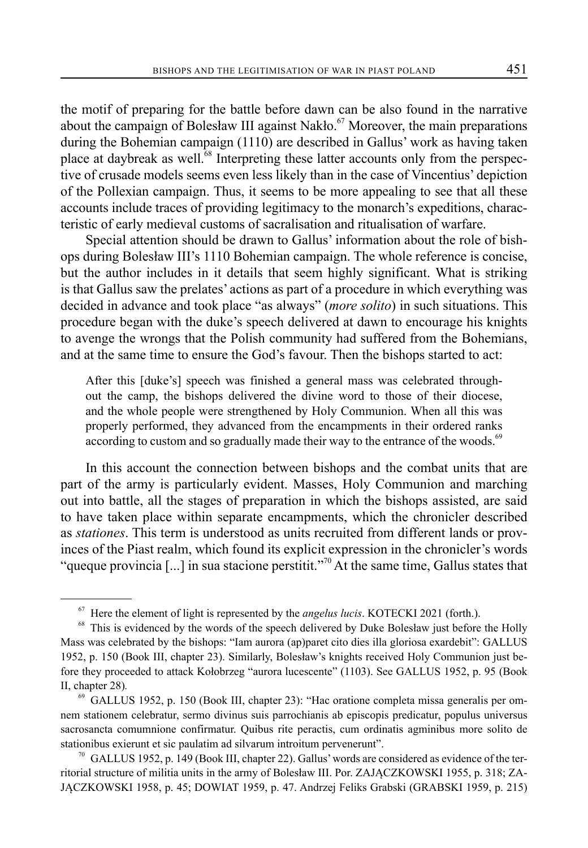the motif of preparing for the battle before dawn can be also found in the narrative about the campaign of Bolesław III against Nakło.<sup>67</sup> Moreover, the main preparations during the Bohemian campaign (1110) are described in Gallus' work as having taken place at daybreak as well.<sup>68</sup> Interpreting these latter accounts only from the perspective of crusade models seems even less likely than in the case of Vincentius' depiction of the Pollexian campaign. Thus, it seems to be more appealing to see that all these accounts include traces of providing legitimacy to the monarch's expeditions, characteristic of early medieval customs of sacralisation and ritualisation of warfare.

Special attention should be drawn to Gallus' information about the role of bishops during Bolesław III's 1110 Bohemian campaign. The whole reference is concise, but the author includes in it details that seem highly significant. What is striking is that Gallus saw the prelates' actions as part of a procedure in which everything was decided in advance and took place "as always" (*more solito*) in such situations. This procedure began with the duke's speech delivered at dawn to encourage his knights to avenge the wrongs that the Polish community had suffered from the Bohemians, and at the same time to ensure the God's favour. Then the bishops started to act:

After this [duke's] speech was finished a general mass was celebrated throughout the camp, the bishops delivered the divine word to those of their diocese, and the whole people were strengthened by Holy Communion. When all this was properly performed, they advanced from the encampments in their ordered ranks according to custom and so gradually made their way to the entrance of the woods.<sup>69</sup>

In this account the connection between bishops and the combat units that are part of the army is particularly evident. Masses, Holy Communion and marching out into battle, all the stages of preparation in which the bishops assisted, are said to have taken place within separate encampments, which the chronicler described as *stationes*. This term is understood as units recruited from different lands or provinces of the Piast realm, which found its explicit expression in the chronicler's words "queque provincia [...] in sua stacione perstitit."<sup>70</sup> At the same time, Gallus states that

<sup>&</sup>lt;sup>67</sup> Here the element of light is represented by the *angelus lucis*. KOTECKI 2021 (forth.). <sup>68</sup> This is evidenced by the words of the speech delivered by Duke Bolesław just before the Holly Mass was celebrated by the bishops: "Iam aurora (ap)paret cito dies illa gloriosa exardebit": GALLUS 1952, p. 150 (Book III, chapter 23). Similarly, Bolesław's knights received Holy Communion just before they proceeded to attack Kołobrzeg "aurora lucescente" (1103). See GALLUS 1952, p. 95 (Book II, chapter 28)*.*

<sup>69</sup> GALLUS 1952, p. 150 (Book III, chapter 23): "Hac oratione completa missa generalis per omnem stationem celebratur, sermo divinus suis parrochianis ab episcopis predicatur, populus universus sacrosancta comumnione confirmatur. Quibus rite peractis, cum ordinatis agminibus more solito de stationibus exierunt et sic paulatim ad silvarum introitum pervenerunt".<br><sup>70</sup> GALLUS 1952, p. 149 (Book III, chapter 22). Gallus' words are considered as evidence of the ter-

ritorial structure of militia units in the army of Bolesław III. Por. ZAJĄCZKOWSKI 1955, p. 318; ZA-JĄCZKOWSKI 1958, p. 45; DOWIAT 1959, p. 47. Andrzej Feliks Grabski (GRABSKI 1959, p. 215)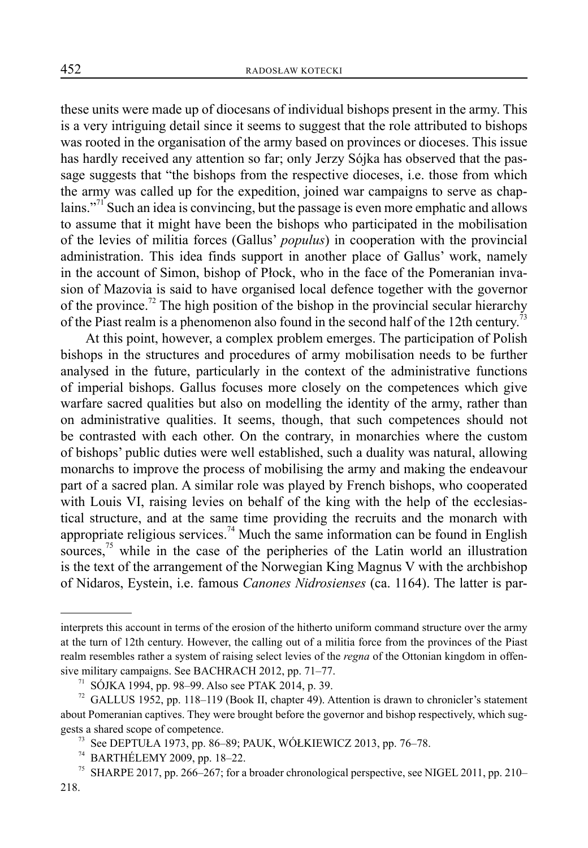these units were made up of diocesans of individual bishops present in the army. This is a very intriguing detail since it seems to suggest that the role attributed to bishops was rooted in the organisation of the army based on provinces or dioceses. This issue has hardly received any attention so far; only Jerzy Sójka has observed that the passage suggests that "the bishops from the respective dioceses, i.e. those from which the army was called up for the expedition, joined war campaigns to serve as chaplains."<sup>71</sup> Such an idea is convincing, but the passage is even more emphatic and allows to assume that it might have been the bishops who participated in the mobilisation of the levies of militia forces (Gallus' *populus*) in cooperation with the provincial administration. This idea finds support in another place of Gallus' work, namely in the account of Simon, bishop of Płock, who in the face of the Pomeranian invasion of Mazovia is said to have organised local defence together with the governor of the province.<sup>72</sup> The high position of the bishop in the provincial secular hierarchy of the Piast realm is a phenomenon also found in the second half of the 12th century.<sup>73</sup>

At this point, however, a complex problem emerges. The participation of Polish bishops in the structures and procedures of army mobilisation needs to be further analysed in the future, particularly in the context of the administrative functions of imperial bishops. Gallus focuses more closely on the competences which give warfare sacred qualities but also on modelling the identity of the army, rather than on administrative qualities. It seems, though, that such competences should not be contrasted with each other. On the contrary, in monarchies where the custom of bishops' public duties were well established, such a duality was natural, allowing monarchs to improve the process of mobilising the army and making the endeavour part of a sacred plan. A similar role was played by French bishops, who cooperated with Louis VI, raising levies on behalf of the king with the help of the ecclesiastical structure, and at the same time providing the recruits and the monarch with appropriate religious services.<sup>74</sup> Much the same information can be found in English sources, $^{75}$  while in the case of the peripheries of the Latin world an illustration is the text of the arrangement of the Norwegian King Magnus V with the archbishop of Nidaros, Eystein, i.e. famous *Canones Nidrosienses* (ca. 1164). The latter is par-

interprets this account in terms of the erosion of the hitherto uniform command structure over the army at the turn of 12th century. However, the calling out of a militia force from the provinces of the Piast realm resembles rather a system of raising select levies of the *regna* of the Ottonian kingdom in offensive military campaigns. See BACHRACH 2012, pp. 71–77.

<sup>71</sup> SÓJKA 1994, pp. 98–99. Also see PTAK 2014, p. 39.

 $72$  GALLUS 1952, pp. 118–119 (Book II, chapter 49). Attention is drawn to chronicler's statement about Pomeranian captives. They were brought before the governor and bishop respectively, which suggests a shared scope of competence.<br><sup>73</sup> See DEPTUŁA 1973, pp. 86–89; PAUK, WÓŁKIEWICZ 2013, pp. 76–78.

<sup>74</sup> BARTHÉLEMY 2009, pp. 18–22.

<sup>&</sup>lt;sup>75</sup> SHARPE 2017, pp. 266–267; for a broader chronological perspective, see NIGEL 2011, pp. 210–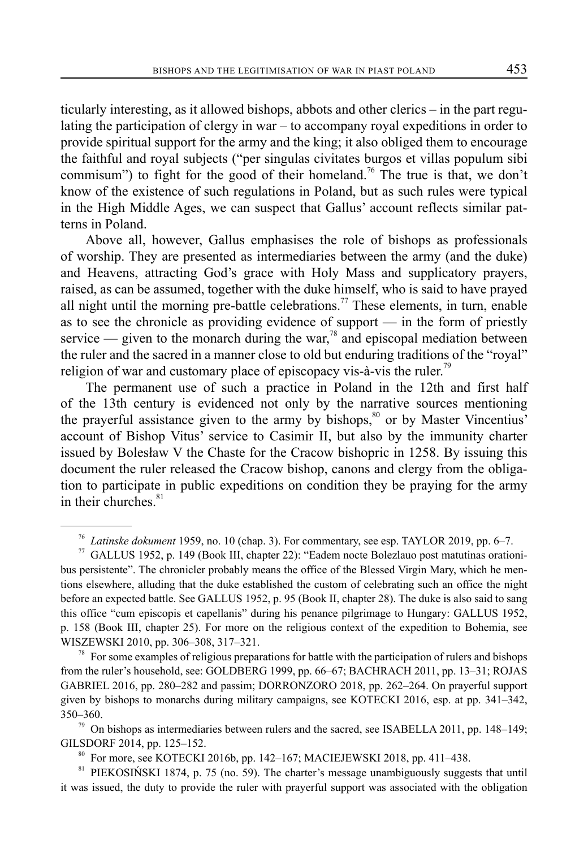ticularly interesting, as it allowed bishops, abbots and other clerics – in the part regulating the participation of clergy in war – to accompany royal expeditions in order to provide spiritual support for the army and the king; it also obliged them to encourage the faithful and royal subjects ("per singulas civitates burgos et villas populum sibi commisum") to fight for the good of their homeland.<sup>76</sup> The true is that, we don't know of the existence of such regulations in Poland, but as such rules were typical in the High Middle Ages, we can suspect that Gallus' account reflects similar patterns in Poland.

Above all, however, Gallus emphasises the role of bishops as professionals of worship. They are presented as intermediaries between the army (and the duke) and Heavens, attracting God's grace with Holy Mass and supplicatory prayers, raised, as can be assumed, together with the duke himself, who is said to have prayed all night until the morning pre-battle celebrations.<sup>77</sup> These elements, in turn, enable as to see the chronicle as providing evidence of support — in the form of priestly service — given to the monarch during the war,<sup>78</sup> and episcopal mediation between the ruler and the sacred in a manner close to old but enduring traditions of the "royal" religion of war and customary place of episcopacy vis-à-vis the ruler.<sup>79</sup>

The permanent use of such a practice in Poland in the 12th and first half of the 13th century is evidenced not only by the narrative sources mentioning the prayerful assistance given to the army by bishops,<sup>80</sup> or by Master Vincentius' account of Bishop Vitus' service to Casimir II, but also by the immunity charter issued by Bolesław V the Chaste for the Cracow bishopric in 1258. By issuing this document the ruler released the Cracow bishop, canons and clergy from the obligation to participate in public expeditions on condition they be praying for the army in their churches.<sup>81</sup>

 $78$  For some examples of religious preparations for battle with the participation of rulers and bishops from the ruler's household, see: GOLDBERG 1999, pp. 66–67; BACHRACH 2011, pp. 13–31; ROJAS GABRIEL 2016, pp. 280–282 and passim; DORRONZORO 2018, pp. 262–264. On prayerful support given by bishops to monarchs during military campaigns, see KOTECKI 2016, esp. at pp. 341–342, 350–360.

 $79$  On bishops as intermediaries between rulers and the sacred, see ISABELLA 2011, pp. 148–149; GILSDORF 2014, pp. 125–152.

81 PIEKOSIŃSKI 1874, p. 75 (no. 59). The charter's message unambiguously suggests that until it was issued, the duty to provide the ruler with prayerful support was associated with the obligation

<sup>76</sup> *Latinske dokument* 1959, no. 10 (chap. 3). For commentary, see esp. TAYLOR 2019, pp. 6–7.

<sup>77</sup> GALLUS 1952, p. 149 (Book III, chapter 22): "Eadem nocte Bolezlauo post matutinas orationibus persistente". The chronicler probably means the office of the Blessed Virgin Mary, which he mentions elsewhere, alluding that the duke established the custom of celebrating such an office the night before an expected battle. See GALLUS 1952, p. 95 (Book II, chapter 28). The duke is also said to sang this office "cum episcopis et capellanis" during his penance pilgrimage to Hungary: GALLUS 1952, p. 158 (Book III, chapter 25). For more on the religious context of the expedition to Bohemia, see WISZEWSKI 2010, pp. 306–308, 317–321.

<sup>80</sup> For more, see KOTECKI 2016b, pp. 142–167; MACIEJEWSKI 2018, pp. 411–438.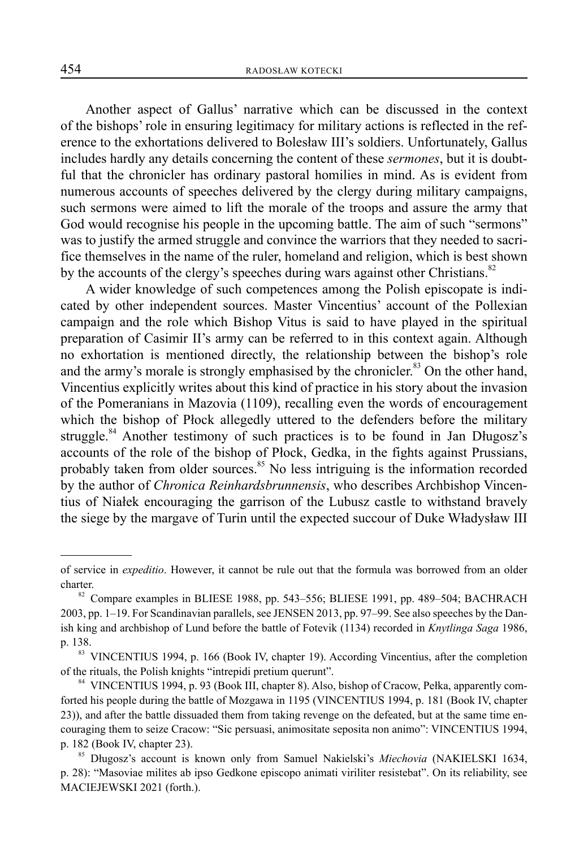Another aspect of Gallus' narrative which can be discussed in the context of the bishops' role in ensuring legitimacy for military actions is reflected in the reference to the exhortations delivered to Bolesław III's soldiers. Unfortunately, Gallus includes hardly any details concerning the content of these *sermones*, but it is doubtful that the chronicler has ordinary pastoral homilies in mind. As is evident from numerous accounts of speeches delivered by the clergy during military campaigns, such sermons were aimed to lift the morale of the troops and assure the army that God would recognise his people in the upcoming battle. The aim of such "sermons" was to justify the armed struggle and convince the warriors that they needed to sacrifice themselves in the name of the ruler, homeland and religion, which is best shown by the accounts of the clergy's speeches during wars against other Christians.<sup>82</sup>

A wider knowledge of such competences among the Polish episcopate is indicated by other independent sources. Master Vincentius' account of the Pollexian campaign and the role which Bishop Vitus is said to have played in the spiritual preparation of Casimir II's army can be referred to in this context again. Although no exhortation is mentioned directly, the relationship between the bishop's role and the army's morale is strongly emphasised by the chronicler.<sup>83</sup> On the other hand, Vincentius explicitly writes about this kind of practice in his story about the invasion of the Pomeranians in Mazovia (1109), recalling even the words of encouragement which the bishop of Płock allegedly uttered to the defenders before the military struggle.<sup>84</sup> Another testimony of such practices is to be found in Jan Długosz's accounts of the role of the bishop of Płock, Gedka, in the fights against Prussians, probably taken from older sources.<sup>85</sup> No less intriguing is the information recorded by the author of *Chronica Reinhardsbrunnensis*, who describes Archbishop Vincentius of Niałek encouraging the garrison of the Lubusz castle to withstand bravely the siege by the margave of Turin until the expected succour of Duke Władysław III

of service in *expeditio*. However, it cannot be rule out that the formula was borrowed from an older

charter.<br><sup>82</sup> Compare examples in BLIESE 1988, pp. 543–556; BLIESE 1991, pp. 489–504; BACHRACH 2003, pp. 1–19. For Scandinavian parallels, see JENSEN 2013, pp. 97–99. See also speeches by the Danish king and archbishop of Lund before the battle of Fotevik (1134) recorded in *Knytlinga Saga* 1986, p. 138.

<sup>&</sup>lt;sup>83</sup> VINCENTIUS 1994, p. 166 (Book IV, chapter 19). According Vincentius, after the completion of the rituals, the Polish knights "intrepidi pretium querunt".

<sup>84</sup> VINCENTIUS 1994, p. 93 (Book III, chapter 8). Also, bishop of Cracow, Pełka, apparently comforted his people during the battle of Mozgawa in 1195 (VINCENTIUS 1994, p. 181 (Book IV, chapter 23)), and after the battle dissuaded them from taking revenge on the defeated, but at the same time encouraging them to seize Cracow: "Sic persuasi, animositate seposita non animo": VINCENTIUS 1994, p. 182 (Book IV, chapter 23). 85 Długosz's account is known only from Samuel Nakielski's *Miechovia* (NAKIELSKI 1634,

p. 28): "Masoviae milites ab ipso Gedkone episcopo animati viriliter resistebat". On its reliability, see MACIEJEWSKI 2021 (forth.).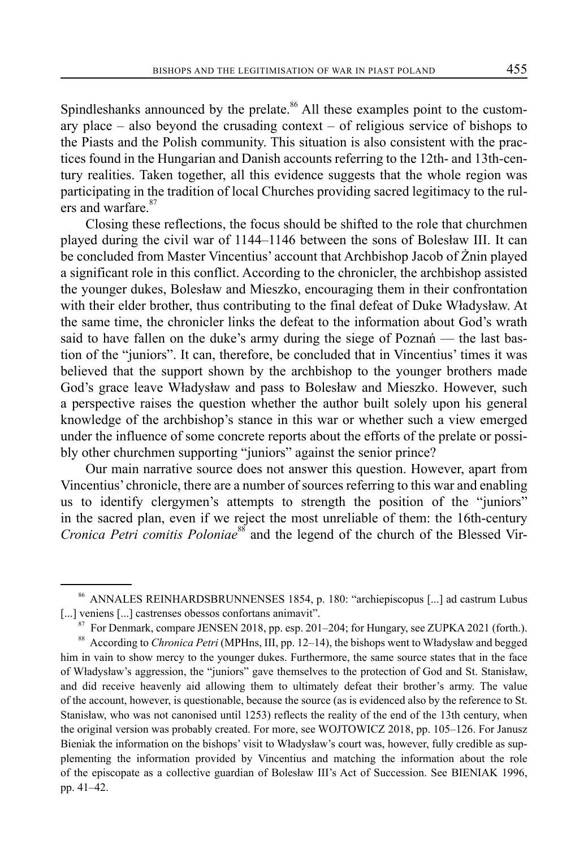Spindleshanks announced by the prelate.<sup>86</sup> All these examples point to the customary place  $-$  also beyond the crusading context  $-$  of religious service of bishops to the Piasts and the Polish community. This situation is also consistent with the practices found in the Hungarian and Danish accounts referring to the 12th- and 13th-century realities. Taken together, all this evidence suggests that the whole region was participating in the tradition of local Churches providing sacred legitimacy to the rulers and warfare.<sup>87</sup>

Closing these reflections, the focus should be shifted to the role that churchmen played during the civil war of 1144–1146 between the sons of Bolesław III. It can be concluded from Master Vincentius' account that Archbishop Jacob of Żnin played a significant role in this conflict. According to the chronicler, the archbishop assisted the younger dukes, Bolesław and Mieszko, encouraging them in their confrontation with their elder brother, thus contributing to the final defeat of Duke Władysław. At the same time, the chronicler links the defeat to the information about God's wrath said to have fallen on the duke's army during the siege of Poznań — the last bastion of the "juniors". It can, therefore, be concluded that in Vincentius' times it was believed that the support shown by the archbishop to the younger brothers made God's grace leave Władysław and pass to Bolesław and Mieszko. However, such a perspective raises the question whether the author built solely upon his general knowledge of the archbishop's stance in this war or whether such a view emerged under the influence of some concrete reports about the efforts of the prelate or possibly other churchmen supporting "juniors" against the senior prince?

Our main narrative source does not answer this question. However, apart from Vincentius' chronicle, there are a number of sources referring to this war and enabling us to identify clergymen's attempts to strength the position of the "juniors" in the sacred plan, even if we reject the most unreliable of them: the 16th-century *Cronica Petri comitis Poloniae*<sup>88</sup> and the legend of the church of the Blessed Vir-

<sup>86</sup> ANNALES REINHARDSBRUNNENSES 1854, p. 180: "archiepiscopus [...] ad castrum Lubus [...] veniens [...] castrenses obessos confortans animavit".

<sup>87</sup> For Denmark, compare JENSEN 2018, pp. esp. 201–204; for Hungary, see ZUPKA 2021 (forth.).

<sup>88</sup> According to *Chronica Petri* (MPHns, III, pp. 12–14), the bishops went to Władysław and begged him in vain to show mercy to the younger dukes. Furthermore, the same source states that in the face of Władysław's aggression, the "juniors" gave themselves to the protection of God and St. Stanisław, and did receive heavenly aid allowing them to ultimately defeat their brother's army. The value of the account, however, is questionable, because the source (as is evidenced also by the reference to St. Stanisław, who was not canonised until 1253) reflects the reality of the end of the 13th century, when the original version was probably created. For more, see WOJTOWICZ 2018, pp. 105–126. For Janusz Bieniak the information on the bishops' visit to Władysław's court was, however, fully credible as supplementing the information provided by Vincentius and matching the information about the role of the episcopate as a collective guardian of Bolesław III's Act of Succession. See BIENIAK 1996, pp. 41–42.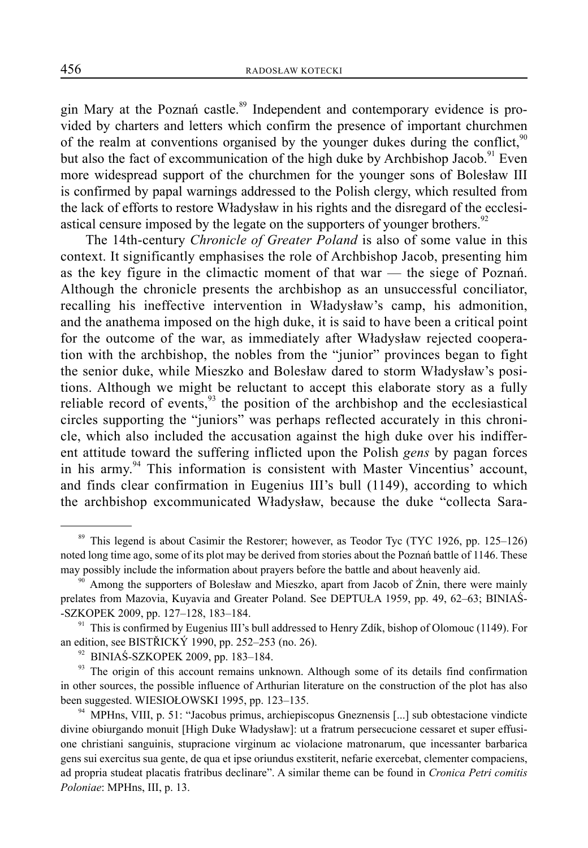gin Mary at the Poznań castle.<sup>89</sup> Independent and contemporary evidence is provided by charters and letters which confirm the presence of important churchmen of the realm at conventions organised by the younger dukes during the conflict, $90$ but also the fact of excommunication of the high duke by Archbishop Jacob.<sup>91</sup> Even more widespread support of the churchmen for the younger sons of Bolesław III is confirmed by papal warnings addressed to the Polish clergy, which resulted from the lack of efforts to restore Władysław in his rights and the disregard of the ecclesiastical censure imposed by the legate on the supporters of younger brothers.<sup>92</sup>

The 14th-century *Chronicle of Greater Poland* is also of some value in this context. It significantly emphasises the role of Archbishop Jacob, presenting him as the key figure in the climactic moment of that war — the siege of Poznań. Although the chronicle presents the archbishop as an unsuccessful conciliator, recalling his ineffective intervention in Władysław's camp, his admonition, and the anathema imposed on the high duke, it is said to have been a critical point for the outcome of the war, as immediately after Władysław rejected cooperation with the archbishop, the nobles from the "junior" provinces began to fight the senior duke, while Mieszko and Bolesław dared to storm Władysław's positions. Although we might be reluctant to accept this elaborate story as a fully reliable record of events,<sup>93</sup> the position of the archbishop and the ecclesiastical circles supporting the "juniors" was perhaps reflected accurately in this chronicle, which also included the accusation against the high duke over his indifferent attitude toward the suffering inflicted upon the Polish *gens* by pagan forces in his army.<sup>94</sup> This information is consistent with Master Vincentius' account, and finds clear confirmation in Eugenius III's bull (1149), according to which the archbishop excommunicated Władysław, because the duke "collecta Sara-

<sup>&</sup>lt;sup>89</sup> This legend is about Casimir the Restorer; however, as Teodor Tyc (TYC 1926, pp. 125–126) noted long time ago, some of its plot may be derived from stories about the Poznań battle of 1146. These may possibly include the information about prayers before the battle and about heavenly aid.

Among the supporters of Bolesław and Mieszko, apart from Jacob of Żnin, there were mainly prelates from Mazovia, Kuyavia and Greater Poland. See DEPTUŁA 1959, pp. 49, 62–63; BINIAŚ- -SZKOPEK 2009, pp. 127–128, 183–184.<br><sup>91</sup> This is confirmed by Eugenius III's bull addressed to Henry Zdík, bishop of Olomouc (1149). For

an edition, see BISTŘICKÝ 1990, pp. 252–253 (no. 26).

 $92$  BINIAŚ-SZKOPEK 2009, pp. 183-184.

<sup>&</sup>lt;sup>93</sup> The origin of this account remains unknown. Although some of its details find confirmation in other sources, the possible influence of Arthurian literature on the construction of the plot has also been suggested. WIESIOŁOWSKI 1995, pp. 123–135.

<sup>&</sup>lt;sup>94</sup> MPHns, VIII, p. 51: "Jacobus primus, archiepiscopus Gneznensis [...] sub obtestacione vindicte divine obiurgando monuit [High Duke Władysław]: ut a fratrum persecucione cessaret et super effusione christiani sanguinis, stupracione virginum ac violacione matronarum, que incessanter barbarica gens sui exercitus sua gente, de qua et ipse oriundus exstiterit, nefarie exercebat, clementer compaciens, ad propria studeat placatis fratribus declinare". A similar theme can be found in *Cronica Petri comitis Poloniae*: MPHns, III, p. 13.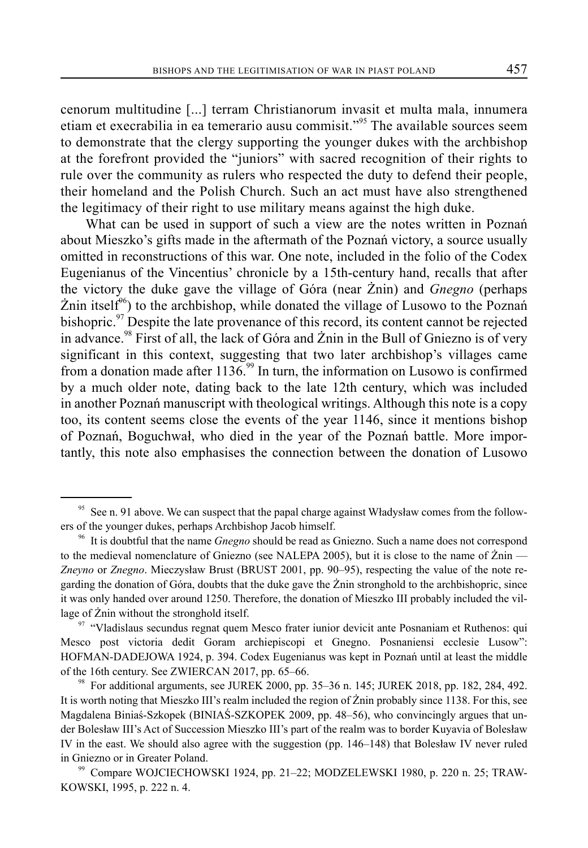cenorum multitudine [...] terram Christianorum invasit et multa mala, innumera etiam et execrabilia in ea temerario ausu commisit."95 The available sources seem to demonstrate that the clergy supporting the younger dukes with the archbishop at the forefront provided the "juniors" with sacred recognition of their rights to rule over the community as rulers who respected the duty to defend their people, their homeland and the Polish Church. Such an act must have also strengthened the legitimacy of their right to use military means against the high duke.

What can be used in support of such a view are the notes written in Poznań about Mieszko's gifts made in the aftermath of the Poznań victory, a source usually omitted in reconstructions of this war. One note, included in the folio of the Codex Eugenianus of the Vincentius' chronicle by a 15th-century hand, recalls that after the victory the duke gave the village of Góra (near Żnin) and *Gnegno* (perhaps  $\text{Znin itself}^{\omega_0}$  to the archbishop, while donated the village of Lusowo to the Poznań bishopric.<sup>97</sup> Despite the late provenance of this record, its content cannot be rejected in advance.<sup>98</sup> First of all, the lack of Góra and  $\overline{Z}$ nin in the Bull of Gniezno is of very significant in this context, suggesting that two later archbishop's villages came from a donation made after  $1136$ .<sup>99</sup> In turn, the information on Lusowo is confirmed by a much older note, dating back to the late 12th century, which was included in another Poznań manuscript with theological writings. Although this note is a copy too, its content seems close the events of the year 1146, since it mentions bishop of Poznań, Boguchwał, who died in the year of the Poznań battle. More importantly, this note also emphasises the connection between the donation of Lusowo

<sup>&</sup>lt;sup>95</sup> See n. 91 above. We can suspect that the papal charge against Władysław comes from the followers of the younger dukes, perhaps Archbishop Jacob himself.

<sup>96</sup> It is doubtful that the name *Gnegno* should be read as Gniezno. Such a name does not correspond to the medieval nomenclature of Gniezno (see NALEPA 2005), but it is close to the name of Żnin — *Zneyno* or *Znegno*. Mieczysław Brust (BRUST 2001, pp. 90–95), respecting the value of the note regarding the donation of Góra, doubts that the duke gave the Żnin stronghold to the archbishopric, since it was only handed over around 1250. Therefore, the donation of Mieszko III probably included the village of Żnin without the stronghold itself.

<sup>97 &</sup>quot;Vladislaus secundus regnat quem Mesco frater iunior devicit ante Posnaniam et Ruthenos: qui Mesco post victoria dedit Goram archiepiscopi et Gnegno. Posnaniensi ecclesie Lusow": HOFMAN-DADEJOWA 1924, p. 394. Codex Eugenianus was kept in Poznań until at least the middle of the 16th century. See ZWIERCAN 2017, pp. 65–66.

<sup>98</sup> For additional arguments, see JUREK 2000, pp. 35–36 n. 145; JUREK 2018, pp. 182, 284, 492. It is worth noting that Mieszko III's realm included the region of Żnin probably since 1138. For this, see Magdalena Biniaś-Szkopek (BINIAŚ-SZKOPEK 2009, pp. 48–56), who convincingly argues that under Bolesław III's Act of Succession Mieszko III's part of the realm was to border Kuyavia of Bolesław IV in the east. We should also agree with the suggestion (pp. 146–148) that Bolesław IV never ruled in Gniezno or in Greater Poland.<br><sup>99</sup> Compare WOJCIECHOWSKI 1924, pp. 21–22; MODZELEWSKI 1980, p. 220 n. 25; TRAW-

KOWSKI, 1995, p. 222 n. 4.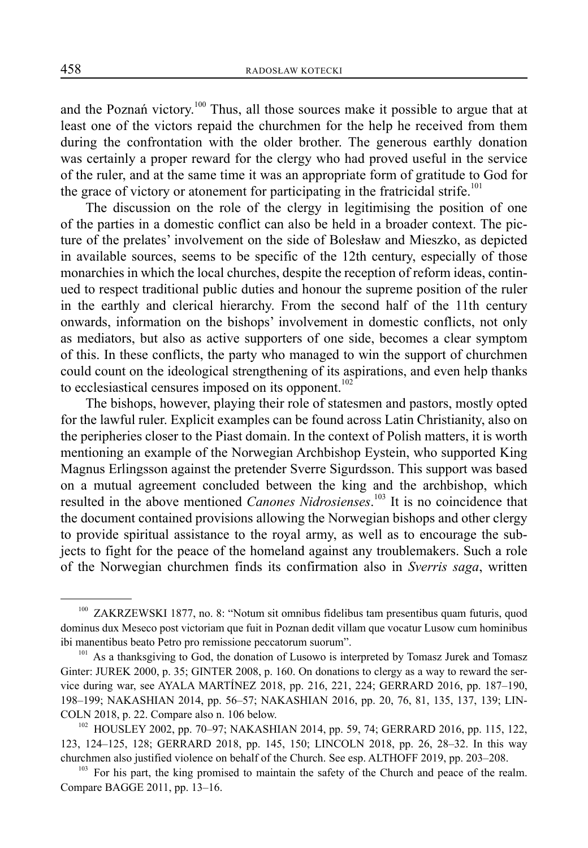and the Poznań victory.<sup>100</sup> Thus, all those sources make it possible to argue that at least one of the victors repaid the churchmen for the help he received from them during the confrontation with the older brother. The generous earthly donation was certainly a proper reward for the clergy who had proved useful in the service of the ruler, and at the same time it was an appropriate form of gratitude to God for the grace of victory or atonement for participating in the fratricidal strife.<sup>101</sup>

The discussion on the role of the clergy in legitimising the position of one of the parties in a domestic conflict can also be held in a broader context. The picture of the prelates' involvement on the side of Bolesław and Mieszko, as depicted in available sources, seems to be specific of the 12th century, especially of those monarchies in which the local churches, despite the reception of reform ideas, continued to respect traditional public duties and honour the supreme position of the ruler in the earthly and clerical hierarchy. From the second half of the 11th century onwards, information on the bishops' involvement in domestic conflicts, not only as mediators, but also as active supporters of one side, becomes a clear symptom of this. In these conflicts, the party who managed to win the support of churchmen could count on the ideological strengthening of its aspirations, and even help thanks to ecclesiastical censures imposed on its opponent.<sup>102</sup>

The bishops, however, playing their role of statesmen and pastors, mostly opted for the lawful ruler. Explicit examples can be found across Latin Christianity, also on the peripheries closer to the Piast domain. In the context of Polish matters, it is worth mentioning an example of the Norwegian Archbishop Eystein, who supported King Magnus Erlingsson against the pretender Sverre Sigurdsson. This support was based on a mutual agreement concluded between the king and the archbishop, which resulted in the above mentioned *Canones Nidrosienses*. 103 It is no coincidence that the document contained provisions allowing the Norwegian bishops and other clergy to provide spiritual assistance to the royal army, as well as to encourage the subjects to fight for the peace of the homeland against any troublemakers. Such a role of the Norwegian churchmen finds its confirmation also in *Sverris saga*, written

<sup>&</sup>lt;sup>100</sup> ZAKRZEWSKI 1877, no. 8: "Notum sit omnibus fidelibus tam presentibus quam futuris, quod dominus dux Meseco post victoriam que fuit in Poznan dedit villam que vocatur Lusow cum hominibus ibi manentibus beato Petro pro remissione peccatorum suorum".<br><sup>101</sup> As a thanksgiving to God, the donation of Lusowo is interpreted by Tomasz Jurek and Tomasz

Ginter: JUREK 2000, p. 35; GINTER 2008, p. 160. On donations to clergy as a way to reward the service during war, see AYALA MARTÍNEZ 2018, pp. 216, 221, 224; GERRARD 2016, pp. 187–190, 198–199; NAKASHIAN 2014, pp. 56–57; NAKASHIAN 2016, pp. 20, 76, 81, 135, 137, 139; LIN-

COLN 2018, p. 22. Compare also n. 106 below.<br><sup>102</sup> HOUSLEY 2002, pp. 70–97; NAKASHIAN 2014, pp. 59, 74; GERRARD 2016, pp. 115, 122, 123, 124–125, 128; GERRARD 2018, pp. 145, 150; LINCOLN 2018, pp. 26, 28–32. In this way churchmen also justified violence on behalf of the Church. See esp. ALTHOFF 2019, pp. 203–208. 103 For his part, the king promised to maintain the safety of the Church and peace of the realm.

Compare BAGGE 2011, pp. 13–16.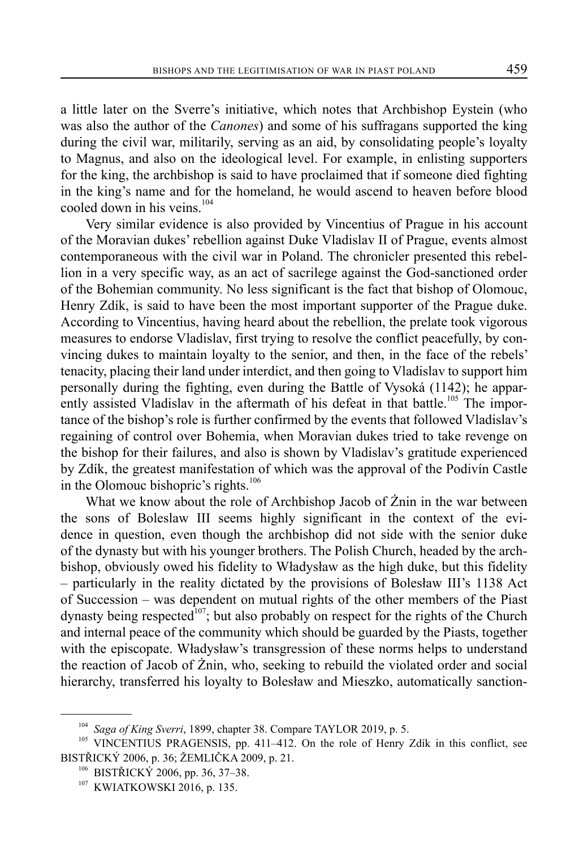a little later on the Sverre's initiative, which notes that Archbishop Eystein (who was also the author of the *Canones*) and some of his suffragans supported the king during the civil war, militarily, serving as an aid, by consolidating people's loyalty to Magnus, and also on the ideological level. For example, in enlisting supporters for the king, the archbishop is said to have proclaimed that if someone died fighting in the king's name and for the homeland, he would ascend to heaven before blood cooled down in his veins.<sup>104</sup>

Very similar evidence is also provided by Vincentius of Prague in his account of the Moravian dukes' rebellion against Duke Vladislav II of Prague, events almost contemporaneous with the civil war in Poland. The chronicler presented this rebellion in a very specific way, as an act of sacrilege against the God-sanctioned order of the Bohemian community. No less significant is the fact that bishop of Olomouc, Henry Zdík, is said to have been the most important supporter of the Prague duke. According to Vincentius, having heard about the rebellion, the prelate took vigorous measures to endorse Vladislav, first trying to resolve the conflict peacefully, by convincing dukes to maintain loyalty to the senior, and then, in the face of the rebels' tenacity, placing their land under interdict, and then going to Vladislav to support him personally during the fighting, even during the Battle of Vysoká (1142); he apparently assisted Vladislav in the aftermath of his defeat in that battle.<sup>105</sup> The importance of the bishop's role is further confirmed by the events that followed Vladislav's regaining of control over Bohemia, when Moravian dukes tried to take revenge on the bishop for their failures, and also is shown by Vladislav's gratitude experienced by Zdík, the greatest manifestation of which was the approval of the Podivín Castle in the Olomouc bishopric's rights. $106$ 

What we know about the role of Archbishop Jacob of Żnin in the war between the sons of Boleslaw III seems highly significant in the context of the evidence in question, even though the archbishop did not side with the senior duke of the dynasty but with his younger brothers. The Polish Church, headed by the archbishop, obviously owed his fidelity to Władysław as the high duke, but this fidelity ‒ particularly in the reality dictated by the provisions of Bolesław III's 1138 Act of Succession – was dependent on mutual rights of the other members of the Piast dynasty being respected<sup>107</sup>; but also probably on respect for the rights of the Church and internal peace of the community which should be guarded by the Piasts, together with the episcopate. Władysław's transgression of these norms helps to understand the reaction of Jacob of Żnin, who, seeking to rebuild the violated order and social hierarchy, transferred his loyalty to Bolesław and Mieszko, automatically sanction-

<sup>&</sup>lt;sup>104</sup> *Saga of King Sverri*, 1899, chapter 38. Compare TAYLOR 2019, p. 5.<br><sup>105</sup> VINCENTIUS PRAGENSIS, pp. 411–412. On the role of Henry Zdík in this conflict, see BISTŘICKÝ 2006, p. 36; ŽEMLIČKA 2009, p. 21.<br><sup>106</sup> BISTŘICKÝ 2006, pp. 36, 37–38.

<sup>&</sup>lt;sup>107</sup> KWIATKOWSKI 2016, p. 135.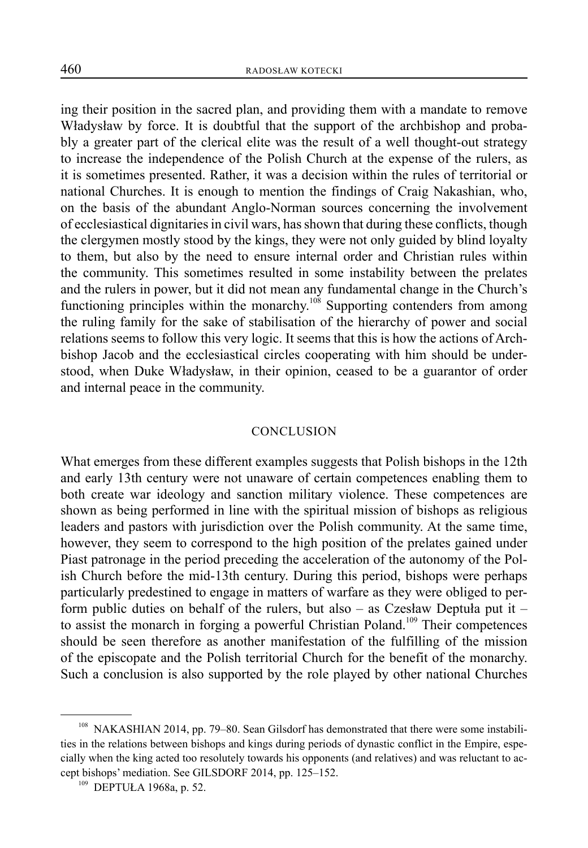ing their position in the sacred plan, and providing them with a mandate to remove Władysław by force. It is doubtful that the support of the archbishop and probably a greater part of the clerical elite was the result of a well thought-out strategy to increase the independence of the Polish Church at the expense of the rulers, as it is sometimes presented. Rather, it was a decision within the rules of territorial or national Churches. It is enough to mention the findings of Craig Nakashian, who, on the basis of the abundant Anglo-Norman sources concerning the involvement of ecclesiastical dignitaries in civil wars, has shown that during these conflicts, though the clergymen mostly stood by the kings, they were not only guided by blind loyalty to them, but also by the need to ensure internal order and Christian rules within the community. This sometimes resulted in some instability between the prelates and the rulers in power, but it did not mean any fundamental change in the Church's functioning principles within the monarchy.<sup>108</sup> Supporting contenders from among the ruling family for the sake of stabilisation of the hierarchy of power and social relations seems to follow this very logic. It seems that this is how the actions of Archbishop Jacob and the ecclesiastical circles cooperating with him should be understood, when Duke Władysław, in their opinion, ceased to be a guarantor of order and internal peace in the community.

#### CONCLUSION

What emerges from these different examples suggests that Polish bishops in the 12th and early 13th century were not unaware of certain competences enabling them to both create war ideology and sanction military violence. These competences are shown as being performed in line with the spiritual mission of bishops as religious leaders and pastors with jurisdiction over the Polish community. At the same time, however, they seem to correspond to the high position of the prelates gained under Piast patronage in the period preceding the acceleration of the autonomy of the Polish Church before the mid-13th century. During this period, bishops were perhaps particularly predestined to engage in matters of warfare as they were obliged to perform public duties on behalf of the rulers, but also  $-$  as Czesław Deptuła put it  $$ to assist the monarch in forging a powerful Christian Poland.<sup>109</sup> Their competences should be seen therefore as another manifestation of the fulfilling of the mission of the episcopate and the Polish territorial Church for the benefit of the monarchy. Such a conclusion is also supported by the role played by other national Churches

<sup>&</sup>lt;sup>108</sup> NAKASHIAN 2014, pp. 79-80. Sean Gilsdorf has demonstrated that there were some instabilities in the relations between bishops and kings during periods of dynastic conflict in the Empire, especially when the king acted too resolutely towards his opponents (and relatives) and was reluctant to accept bishops' mediation. See GILSDORF 2014, pp. 125–152.

<sup>109</sup> DEPTUŁA 1968a, p. 52.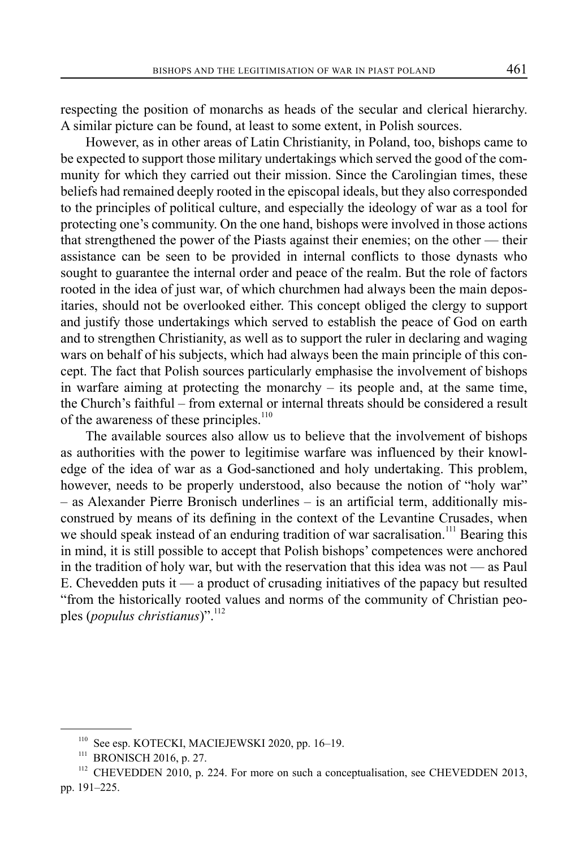respecting the position of monarchs as heads of the secular and clerical hierarchy. A similar picture can be found, at least to some extent, in Polish sources.

However, as in other areas of Latin Christianity, in Poland, too, bishops came to be expected to support those military undertakings which served the good of the community for which they carried out their mission. Since the Carolingian times, these beliefs had remained deeply rooted in the episcopal ideals, but they also corresponded to the principles of political culture, and especially the ideology of war as a tool for protecting one's community. On the one hand, bishops were involved in those actions that strengthened the power of the Piasts against their enemies; on the other — their assistance can be seen to be provided in internal conflicts to those dynasts who sought to guarantee the internal order and peace of the realm. But the role of factors rooted in the idea of just war, of which churchmen had always been the main depositaries, should not be overlooked either. This concept obliged the clergy to support and justify those undertakings which served to establish the peace of God on earth and to strengthen Christianity, as well as to support the ruler in declaring and waging wars on behalf of his subjects, which had always been the main principle of this concept. The fact that Polish sources particularly emphasise the involvement of bishops in warfare aiming at protecting the monarchy  $-$  its people and, at the same time, the Church's faithful ‒ from external or internal threats should be considered a result of the awareness of these principles.<sup>110</sup>

The available sources also allow us to believe that the involvement of bishops as authorities with the power to legitimise warfare was influenced by their knowledge of the idea of war as a God-sanctioned and holy undertaking. This problem, however, needs to be properly understood, also because the notion of "holy war" ‒ as Alexander Pierre Bronisch underlines ‒ is an artificial term, additionally misconstrued by means of its defining in the context of the Levantine Crusades, when we should speak instead of an enduring tradition of war sacralisation.<sup>111</sup> Bearing this in mind, it is still possible to accept that Polish bishops' competences were anchored in the tradition of holy war, but with the reservation that this idea was not — as Paul E. Chevedden puts it — a product of crusading initiatives of the papacy but resulted "from the historically rooted values and norms of the community of Christian peoples (*populus christianus*)".<sup>112</sup>

<sup>110</sup> See esp. KOTECKI, MACIEJEWSKI 2020, pp. 16–19.

<sup>&</sup>lt;sup>111</sup> BRONISCH 2016, p. 27.

<sup>&</sup>lt;sup>112</sup> CHEVEDDEN 2010, p. 224. For more on such a conceptualisation, see CHEVEDDEN 2013, pp. 191–225.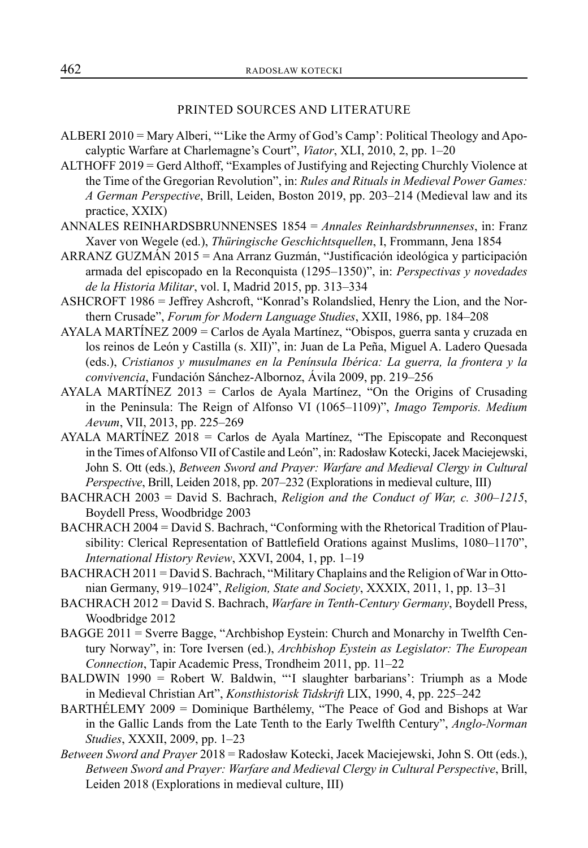## PRINTED SOURCES AND LITERATURE

- ALBERI 2010 = Mary Alberi, "'Like the Army of God's Camp': Political Theology and Apocalyptic Warfare at Charlemagne's Court", *Viator*, XLI, 2010, 2, pp. 1–20
- ALTHOFF 2019 = Gerd Althoff, "Examples of Justifying and Rejecting Churchly Violence at the Time of the Gregorian Revolution", in: *Rules and Rituals in Medieval Power Games: A German Perspective*, Brill, Leiden, Boston 2019, pp. 203–214 (Medieval law and its practice, XXIX)
- ANNALES REINHARDSBRUNNENSES 1854 = *Annales Reinhardsbrunnenses*, in: Franz Xaver von Wegele (ed.), *Thüringische Geschichtsquellen*, I, Frommann, Jena 1854
- ARRANZ GUZMÁN 2015 = Ana Arranz Guzmán, "Justificación ideológica y participación armada del episcopado en la Reconquista (1295–1350)", in: *Perspectivas y novedades de la Historia Militar*, vol. I, Madrid 2015, pp. 313–334
- ASHCROFT 1986 = Jeffrey Ashcroft, "Konrad's Rolandslied, Henry the Lion, and the Northern Crusade", *Forum for Modern Language Studies*, XXII, 1986, pp. 184–208
- AYALA MARTÍNEZ 2009 = Carlos de Ayala Martínez, "Obispos, guerra santa y cruzada en los reinos de León y Castilla (s. XII)", in: Juan de La Peña, Miguel A. Ladero Quesada (eds.), *Cristianos y musulmanes en la Península Ibérica: La guerra, la frontera y la convivencia*, Fundación Sánchez-Albornoz, Ávila 2009, pp. 219–256
- AYALA MARTÍNEZ  $2013 =$  Carlos de Ayala Martínez, "On the Origins of Crusading in the Peninsula: The Reign of Alfonso VI (1065–1109)", *Imago Temporis. Medium Aevum*, VII, 2013, pp. 225–269
- AYALA MARTÍNEZ 2018 = Carlos de Ayala Martínez, "The Episcopate and Reconquest in the Times of Alfonso VII of Castile and León", in: Radosław Kotecki, Jacek Maciejewski, John S. Ott (eds.), *Between Sword and Prayer: Warfare and Medieval Clergy in Cultural Perspective*, Brill, Leiden 2018, pp. 207–232 (Explorations in medieval culture, III)
- BACHRACH 2003 = David S. Bachrach, *Religion and the Conduct of War, c. 300–1215*, Boydell Press, Woodbridge 2003
- BACHRACH 2004 = David S. Bachrach, "Conforming with the Rhetorical Tradition of Plausibility: Clerical Representation of Battlefield Orations against Muslims, 1080–1170", *International History Review*, XXVI, 2004, 1, pp. 1–19
- BACHRACH 2011 = David S. Bachrach, "Military Chaplains and the Religion of War in Ottonian Germany, 919–1024", *Religion, State and Society*, XXXIX, 2011, 1, pp. 13–31
- BACHRACH 2012 = David S. Bachrach, *Warfare in Tenth-Century Germany*, Boydell Press, Woodbridge 2012
- BAGGE 2011 = Sverre Bagge, "Archbishop Eystein: Church and Monarchy in Twelfth Century Norway", in: Tore Iversen (ed.), *Archbishop Eystein as Legislator: The European Connection*, Tapir Academic Press, Trondheim 2011, pp. 11–22
- BALDWIN 1990 = Robert W. Baldwin, "'I slaughter barbarians': Triumph as a Mode in Medieval Christian Art", *Konsthistorisk Tidskrift* LIX, 1990, 4, pp. 225–242
- BARTHÉLEMY 2009 = Dominique Barthélemy, "The Peace of God and Bishops at War in the Gallic Lands from the Late Tenth to the Early Twelfth Century", *Anglo-Norman Studies*, XXXII, 2009, pp. 1–23
- *Between Sword and Prayer* 2018 = Radosław Kotecki, Jacek Maciejewski, John S. Ott (eds.), *Between Sword and Prayer: Warfare and Medieval Clergy in Cultural Perspective*, Brill, Leiden 2018 (Explorations in medieval culture, III)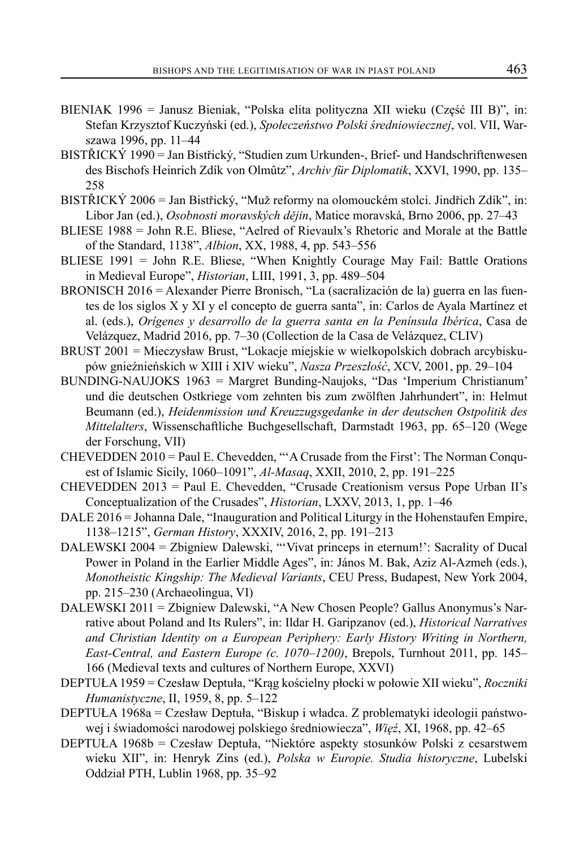- BIENIAK 1996 = Janusz Bieniak, "Polska elita polityczna XII wieku (Część III B)", in: Stefan Krzysztof Kuczyński (ed.), *Społeczeństwo Polski średniowiecznej*, vol. VII, Warszawa 1996, pp. 11–44
- BISTŘICKÝ 1990 = Jan Bistřický, "Studien zum Urkunden-, Brief- und Handschriftenwesen des Bischofs Heinrich Zdík von Olmûtz", *Archiv für Diplomatik*, XXVI, 1990, pp. 135– 258
- BISTŘICKÝ 2006 = Jan Bistřický, "Muž reformy na olomouckém stolci. Jindřich Zdík", in: Libor Jan (ed.), *Osobnosti moravských dějin*, Matice moravská, Brno 2006, pp. 27–43
- BLIESE 1988 = John R.E. Bliese, "Aelred of Rievaulx's Rhetoric and Morale at the Battle of the Standard, 1138", *Albion*, XX, 1988, 4, pp. 543–556
- BLIESE 1991 = John R.E. Bliese, "When Knightly Courage May Fail: Battle Orations in Medieval Europe", *Historian*, LIII, 1991, 3, pp. 489–504
- BRONISCH 2016 = Alexander Pierre Bronisch, "La (sacralización de la) guerra en las fuentes de los siglos X y XI y el concepto de guerra santa", in: Carlos de Ayala Martínez et al. (eds.), *Orígenes y desarrollo de la guerra santa en la Península Ibérica*, Casa de Velázquez, Madrid 2016, pp. 7–30 (Collection de la Casa de Velázquez, CLIV)
- BRUST 2001 = Mieczysław Brust, "Lokacje miejskie w wielkopolskich dobrach arcybiskupów gnieźnieńskich w XIII i XIV wieku", *Nasza Przeszłość*, XCV, 2001, pp. 29–104
- BUNDING-NAUJOKS 1963 = Margret Bunding-Naujoks, "Das 'Imperium Christianum' und die deutschen Ostkriege vom zehnten bis zum zwölften Jahrhundert", in: Helmut Beumann (ed.), *Heidenmission und Kreuzzugsgedanke in der deutschen Ostpolitik des Mittelalters*, Wissenschaftliche Buchgesellschaft, Darmstadt 1963, pp. 65–120 (Wege der Forschung, VII)
- CHEVEDDEN 2010 = Paul E. Chevedden, "'A Crusade from the First': The Norman Conquest of Islamic Sicily, 1060–1091", *Al-Masaq*, XXII, 2010, 2, pp. 191–225
- CHEVEDDEN 2013 = Paul E. Chevedden, "Crusade Creationism versus Pope Urban II's Conceptualization of the Crusades", *Historian*, LXXV, 2013, 1, pp. 1–46
- DALE 2016 = Johanna Dale, "Inauguration and Political Liturgy in the Hohenstaufen Empire, 1138–1215", *German History*, XXXIV, 2016, 2, pp. 191–213
- DALEWSKI 2004 = Zbigniew Dalewski, "'Vivat princeps in eternum!': Sacrality of Ducal Power in Poland in the Earlier Middle Ages", in: János M. Bak, Aziz Al-Azmeh (eds.), *Monotheistic Kingship: The Medieval Variants*, CEU Press, Budapest, New York 2004, pp. 215–230 (Archaeolingua, VI)
- DALEWSKI 2011 = Zbigniew Dalewski, "A New Chosen People? Gallus Anonymus's Narrative about Poland and Its Rulers", in: Ildar H. Garipzanov (ed.), *Historical Narratives and Christian Identity on a European Periphery: Early History Writing in Northern, East-Central, and Eastern Europe (c. 1070–1200)*, Brepols, Turnhout 2011, pp. 145– 166 (Medieval texts and cultures of Northern Europe, XXVI)
- DEPTUŁA 1959 = Czesław Deptuła, "Krąg kościelny płocki w połowie XII wieku", *Roczniki Humanistyczne*, II, 1959, 8, pp. 5–122
- DEPTUŁA 1968a = Czesław Deptuła, "Biskup i władca. Z problematyki ideologii państwowej i świadomości narodowej polskiego średniowiecza", *Więź*, XI, 1968, pp. 42–65
- DEPTUŁA 1968b = Czesław Deptuła, "Niektóre aspekty stosunków Polski z cesarstwem wieku XII", in: Henryk Zins (ed.), *Polska w Europie. Studia historyczne*, Lubelski Oddział PTH, Lublin 1968, pp. 35–92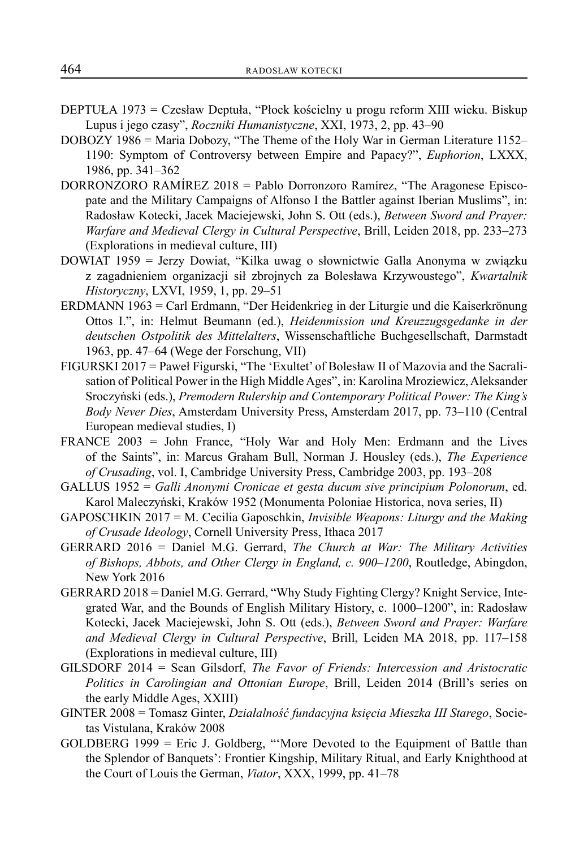- DEPTUŁA 1973 = Czesław Deptuła, "Płock kościelny u progu reform XIII wieku. Biskup Lupus i jego czasy", *Roczniki Humanistyczne*, XXI, 1973, 2, pp. 43–90
- DOBOZY 1986 = Maria Dobozy, "The Theme of the Holy War in German Literature 1152– 1190: Symptom of Controversy between Empire and Papacy?", *Euphorion*, LXXX, 1986, pp. 341–362
- DORRONZORO RAMÍREZ 2018 = Pablo Dorronzoro Ramírez, "The Aragonese Episcopate and the Military Campaigns of Alfonso I the Battler against Iberian Muslims", in: Radosław Kotecki, Jacek Maciejewski, John S. Ott (eds.), *Between Sword and Prayer: Warfare and Medieval Clergy in Cultural Perspective*, Brill, Leiden 2018, pp. 233–273 (Explorations in medieval culture, III)
- DOWIAT 1959 = Jerzy Dowiat, "Kilka uwag o słownictwie Galla Anonyma w związku z zagadnieniem organizacji sił zbrojnych za Bolesława Krzywoustego", *Kwartalnik Historyczny*, LXVI, 1959, 1, pp. 29–51
- ERDMANN 1963 = Carl Erdmann, "Der Heidenkrieg in der Liturgie und die Kaiserkrönung Ottos I.", in: Helmut Beumann (ed.), *Heidenmission und Kreuzzugsgedanke in der deutschen Ostpolitik des Mittelalters*, Wissenschaftliche Buchgesellschaft, Darmstadt 1963, pp. 47–64 (Wege der Forschung, VII)
- FIGURSKI 2017 = Paweł Figurski, "The 'Exultet' of Bolesław II of Mazovia and the Sacralisation of Political Power in the High Middle Ages", in: Karolina Mroziewicz, Aleksander Sroczyński (eds.), *Premodern Rulership and Contemporary Political Power: The King's Body Never Dies*, Amsterdam University Press, Amsterdam 2017, pp. 73–110 (Central European medieval studies, I)
- FRANCE 2003 = John France, "Holy War and Holy Men: Erdmann and the Lives of the Saints", in: Marcus Graham Bull, Norman J. Housley (eds.), *The Experience of Crusading*, vol. I, Cambridge University Press, Cambridge 2003, pp. 193–208
- GALLUS 1952 = *Galli Anonymi Cronicae et gesta ducum sive principium Polonorum*, ed. Karol Maleczyński, Kraków 1952 (Monumenta Poloniae Historica, nova series, II)
- GAPOSCHKIN 2017 = M. Cecilia Gaposchkin, *Invisible Weapons: Liturgy and the Making of Crusade Ideology*, Cornell University Press, Ithaca 2017
- GERRARD 2016 = Daniel M.G. Gerrard, *The Church at War: The Military Activities of Bishops, Abbots, and Other Clergy in England, c. 900–1200*, Routledge, Abingdon, New York 2016
- GERRARD 2018 = Daniel M.G. Gerrard, "Why Study Fighting Clergy? Knight Service, Integrated War, and the Bounds of English Military History, c. 1000–1200", in: Radosław Kotecki, Jacek Maciejewski, John S. Ott (eds.), *Between Sword and Prayer: Warfare and Medieval Clergy in Cultural Perspective*, Brill, Leiden MA 2018, pp. 117–158 (Explorations in medieval culture, III)
- GILSDORF 2014 = Sean Gilsdorf, *The Favor of Friends: Intercession and Aristocratic Politics in Carolingian and Ottonian Europe*, Brill, Leiden 2014 (Brill's series on the early Middle Ages, XXIII)
- GINTER 2008 = Tomasz Ginter, *Działalność fundacyjna księcia Mieszka III Starego*, Societas Vistulana, Kraków 2008
- GOLDBERG 1999 = Eric J. Goldberg, "'More Devoted to the Equipment of Battle than the Splendor of Banquets': Frontier Kingship, Military Ritual, and Early Knighthood at the Court of Louis the German, *Viator*, XXX, 1999, pp. 41–78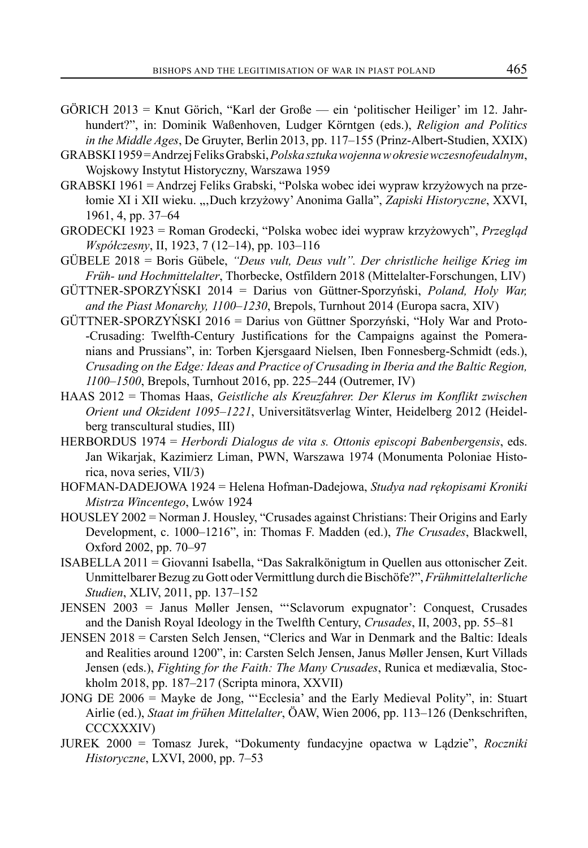- GÖRICH 2013 = Knut Görich, "Karl der Große ein 'politischer Heiliger' im 12. Jahrhundert?", in: Dominik Waßenhoven, Ludger Körntgen (eds.), *Religion and Politics in the Middle Ages*, De Gruyter, Berlin 2013, pp. 117–155 (Prinz-Albert-Studien, XXIX)
- GRABSKI 1959 = Andrzej Feliks Grabski, *Polska sztuka wojenna w okresie wczesnofeudalnym*, Wojskowy Instytut Historyczny, Warszawa 1959
- GRABSKI 1961 = Andrzej Feliks Grabski, "Polska wobec idei wypraw krzyżowych na przełomie XI i XII wieku. "Duch krzyżowy' Anonima Galla", *Zapiski Historyczne*, XXVI, 1961, 4, pp. 37–64
- GRODECKI 1923 = Roman Grodecki, "Polska wobec idei wypraw krzyżowych", *Przegląd Współczesny*, II, 1923, 7 (12–14), pp. 103–116
- GÜBELE 2018 = Boris Gübele, *"Deus vult, Deus vult". Der christliche heilige Krieg im Früh- und Hochmittelalter*, Thorbecke, Ostfildern 2018 (Mittelalter-Forschungen, LIV)
- GÜTTNER-SPORZYŃSKI 2014 = Darius von Güttner-Sporzyński, *Poland, Holy War, and the Piast Monarchy, 1100–1230*, Brepols, Turnhout 2014 (Europa sacra, XIV)
- GÜTTNER-SPORZYŃSKI 2016 = Darius von Güttner Sporzyński, "Holy War and Proto- -Crusading: Twelfth-Century Justifications for the Campaigns against the Pomeranians and Prussians", in: Torben Kjersgaard Nielsen, Iben Fonnesberg-Schmidt (eds.), *Crusading on the Edge: Ideas and Practice of Crusading in Iberia and the Baltic Region, 1100–1500*, Brepols, Turnhout 2016, pp. 225–244 (Outremer, IV)
- HAAS 2012 = Thomas Haas, *Geistliche als Kreuzfahrer. Der Klerus im Konflikt zwischen Orient und Okzident 1095–1221*, Universitätsverlag Winter, Heidelberg 2012 (Heidelberg transcultural studies, III)
- HERBORDUS 1974 = *Herbordi Dialogus de vita s. Ottonis episcopi Babenbergensis*, eds. Jan Wikarjak, Kazimierz Liman, PWN, Warszawa 1974 (Monumenta Poloniae Historica, nova series, VII/3)
- HOFMAN-DADEJOWA 1924 = Helena Hofman-Dadejowa, *Studya nad rękopisami Kroniki Mistrza Wincentego*, Lwów 1924
- HOUSLEY 2002 = Norman J. Housley, "Crusades against Christians: Their Origins and Early Development, c. 1000–1216", in: Thomas F. Madden (ed.), *The Crusades*, Blackwell, Oxford 2002, pp. 70–97
- ISABELLA 2011 = Giovanni Isabella, "Das Sakralkönigtum in Quellen aus ottonischer Zeit. Unmittelbarer Bezug zu Gott oder Vermittlung durch die Bischöfe?", *Frühmittelalterliche Studien*, XLIV, 2011, pp. 137–152
- JENSEN 2003 = Janus Møller Jensen, "'Sclavorum expugnator': Conquest, Crusades and the Danish Royal Ideology in the Twelfth Century, *Crusades*, II, 2003, pp. 55–81
- JENSEN 2018 = Carsten Selch Jensen, "Clerics and War in Denmark and the Baltic: Ideals and Realities around 1200", in: Carsten Selch Jensen, Janus Møller Jensen, Kurt Villads Jensen (eds.), *Fighting for the Faith: The Many Crusades*, Runica et mediævalia, Stockholm 2018, pp. 187–217 (Scripta minora, XXVII)
- JONG DE 2006 = Mayke de Jong, "'Ecclesia' and the Early Medieval Polity", in: Stuart Airlie (ed.), *Staat im frühen Mittelalter*, ÖAW, Wien 2006, pp. 113–126 (Denkschriften, CCCXXXIV)
- JUREK 2000 = Tomasz Jurek, "Dokumenty fundacyjne opactwa w Lądzie", *Roczniki Historyczne*, LXVI, 2000, pp. 7–53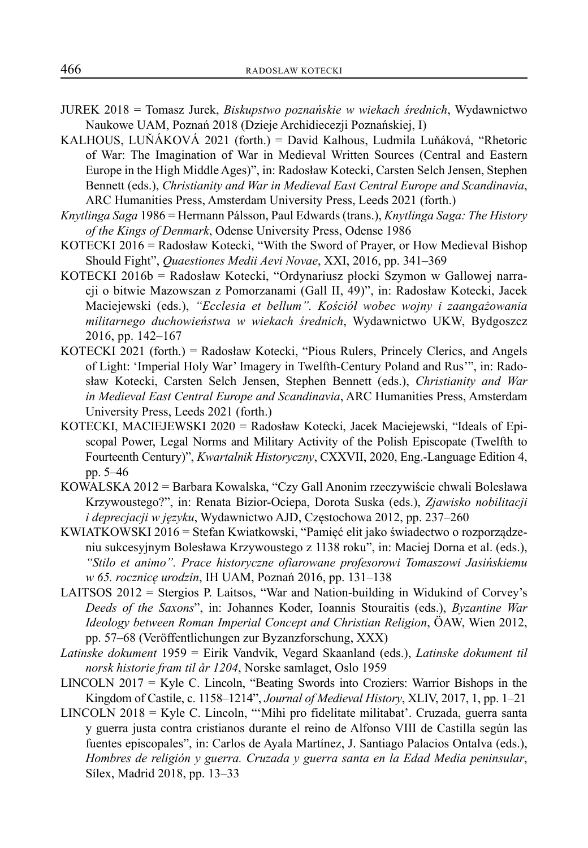- JUREK 2018 = Tomasz Jurek, *Biskupstwo poznańskie w wiekach średnich*, Wydawnictwo Naukowe UAM, Poznań 2018 (Dzieje Archidiecezji Poznańskiej, I)
- KALHOUS, LUŇÁKOVÁ 2021 (forth.) = David Kalhous, Ludmila Luňáková, "Rhetoric of War: The Imagination of War in Medieval Written Sources (Central and Eastern Europe in the High Middle Ages)", in: Radosław Kotecki, Carsten Selch Jensen, Stephen Bennett (eds.), *Christianity and War in Medieval East Central Europe and Scandinavia*, ARC Humanities Press, Amsterdam University Press, Leeds 2021 (forth.)
- *Knytlinga Saga* 1986 = Hermann Pálsson, Paul Edwards (trans.), *Knytlinga Saga: The History of the Kings of Denmark*, Odense University Press, Odense 1986
- KOTECKI 2016 = Radosław Kotecki, "With the Sword of Prayer, or How Medieval Bishop Should Fight", *Quaestiones Medii Aevi Novae*, XXI, 2016, pp. 341–369
- KOTECKI 2016b = Radosław Kotecki, "Ordynariusz płocki Szymon w Gallowej narracji o bitwie Mazowszan z Pomorzanami (Gall II, 49)", in: Radosław Kotecki, Jacek Maciejewski (eds.), *"Ecclesia et bellum". Kościół wobec wojny i zaangażowania militarnego duchowieństwa w wiekach średnich*, Wydawnictwo UKW, Bydgoszcz 2016, pp. 142–167
- KOTECKI 2021 (forth.) = Radosław Kotecki, "Pious Rulers, Princely Clerics, and Angels of Light: 'Imperial Holy War' Imagery in Twelfth-Century Poland and Rus'", in: Radosław Kotecki, Carsten Selch Jensen, Stephen Bennett (eds.), *Christianity and War in Medieval East Central Europe and Scandinavia*, ARC Humanities Press, Amsterdam University Press, Leeds 2021 (forth.)
- KOTECKI, MACIEJEWSKI 2020 = Radosław Kotecki, Jacek Maciejewski, "Ideals of Episcopal Power, Legal Norms and Military Activity of the Polish Episcopate (Twelfth to Fourteenth Century)", *Kwartalnik Historyczny*, CXXVII, 2020, Eng.-Language Edition 4, pp. 5–46
- KOWALSKA 2012 = Barbara Kowalska, "Czy Gall Anonim rzeczywiście chwali Bolesława Krzywoustego?", in: Renata Bizior-Ociepa, Dorota Suska (eds.), *Zjawisko nobilitacji i deprecjacji w języku*, Wydawnictwo AJD, Częstochowa 2012, pp. 237–260
- KWIATKOWSKI 2016 = Stefan Kwiatkowski, "Pamięć elit jako świadectwo o rozporządzeniu sukcesyjnym Bolesława Krzywoustego z 1138 roku", in: Maciej Dorna et al. (eds.), *"Stilo et animo". Prace historyczne ofiarowane profesorowi Tomaszowi Jasińskiemu w 65. rocznicę urodzin*, IH UAM, Poznań 2016, pp. 131–138
- LAITSOS 2012 = Stergios P. Laitsos, "War and Nation-building in Widukind of Corvey's *Deeds of the Saxons*", in: Johannes Koder, Ioannis Stouraitis (eds.), *Byzantine War Ideology between Roman Imperial Concept and Christian Religion*, ÖAW, Wien 2012, pp. 57–68 (Veröffentlichungen zur Byzanzforschung, XXX)
- *Latinske dokument* 1959 = Eirik Vandvik, Vegard Skaanland (eds.), *Latinske dokument til norsk historie fram til år 1204*, Norske samlaget, Oslo 1959
- LINCOLN 2017 = Kyle C. Lincoln, "Beating Swords into Croziers: Warrior Bishops in the Kingdom of Castile, c. 1158–1214", *Journal of Medieval History*, XLIV, 2017, 1, pp. 1–21
- LINCOLN 2018 = Kyle C. Lincoln, "'Mihi pro fidelitate militabat'. Cruzada, guerra santa y guerra justa contra cristianos durante el reino de Alfonso VIII de Castilla según las fuentes episcopales", in: Carlos de Ayala Martínez, J. Santiago Palacios Ontalva (eds.), *Hombres de religión y guerra. Cruzada y guerra santa en la Edad Media peninsular*, Sílex, Madrid 2018, pp. 13–33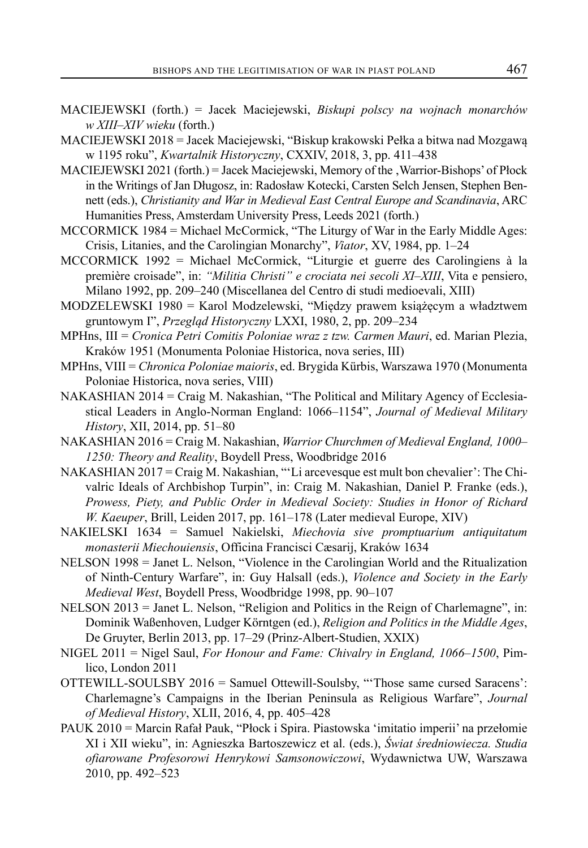- MACIEJEWSKI (forth.) = Jacek Maciejewski, *Biskupi polscy na wojnach monarchów w XIII–XIV wieku* (forth.)
- MACIEJEWSKI 2018 = Jacek Maciejewski, "Biskup krakowski Pełka a bitwa nad Mozgawą w 1195 roku", *Kwartalnik Historyczny*, CXXIV, 2018, 3, pp. 411–438
- MACIEJEWSKI 2021 (forth.) = Jacek Maciejewski, Memory of the , Warrior-Bishops' of Płock in the Writings of Jan Długosz, in: Radosław Kotecki, Carsten Selch Jensen, Stephen Bennett (eds.), *Christianity and War in Medieval East Central Europe and Scandinavia*, ARC Humanities Press, Amsterdam University Press, Leeds 2021 (forth.)
- MCCORMICK 1984 = Michael McCormick, "The Liturgy of War in the Early Middle Ages: Crisis, Litanies, and the Carolingian Monarchy", *Viator*, XV, 1984, pp. 1–24
- MCCORMICK 1992 = Michael McCormick, "Liturgie et guerre des Carolingiens à la première croisade", in: *"Militia Christi" e crociata nei secoli XI–XIII*, Vita e pensiero, Milano 1992, pp. 209–240 (Miscellanea del Centro di studi medioevali, XIII)
- MODZELEWSKI 1980 = Karol Modzelewski, "Między prawem książęcym a władztwem gruntowym I", *Przegląd Historyczny* LXXI, 1980, 2, pp. 209–234
- MPHns, III = *Cronica Petri Comitis Poloniae wraz z tzw. Carmen Mauri*, ed. Marian Plezia, Kraków 1951 (Monumenta Poloniae Historica, nova series, III)
- MPHns, VIII = *Chronica Poloniae maioris*, ed. Brygida Kürbis, Warszawa 1970 (Monumenta Poloniae Historica, nova series, VIII)
- NAKASHIAN 2014 = Craig M. Nakashian, "The Political and Military Agency of Ecclesiastical Leaders in Anglo-Norman England: 1066–1154", *Journal of Medieval Military History*, XII, 2014, pp. 51–80
- NAKASHIAN 2016 = Craig M. Nakashian, *Warrior Churchmen of Medieval England, 1000– 1250: Theory and Reality*, Boydell Press, Woodbridge 2016
- NAKASHIAN 2017 = Craig M. Nakashian, "'Li arcevesque est mult bon chevalier': The Chivalric Ideals of Archbishop Turpin", in: Craig M. Nakashian, Daniel P. Franke (eds.), *Prowess, Piety, and Public Order in Medieval Society: Studies in Honor of Richard W. Kaeuper*, Brill, Leiden 2017, pp. 161–178 (Later medieval Europe, XIV)
- NAKIELSKI 1634 = Samuel Nakielski, *Miechovia sive promptuarium antiquitatum monasterii Miechouiensis*, Officina Francisci Cæsarij, Kraków 1634
- NELSON 1998 = Janet L. Nelson, "Violence in the Carolingian World and the Ritualization of Ninth-Century Warfare", in: Guy Halsall (eds.), *Violence and Society in the Early Medieval West*, Boydell Press, Woodbridge 1998, pp. 90–107
- NELSON 2013 = Janet L. Nelson, "Religion and Politics in the Reign of Charlemagne", in: Dominik Waßenhoven, Ludger Körntgen (ed.), *Religion and Politics in the Middle Ages*, De Gruyter, Berlin 2013, pp. 17–29 (Prinz-Albert-Studien, XXIX)
- NIGEL 2011 = Nigel Saul, *For Honour and Fame: Chivalry in England, 1066–1500*, Pimlico, London 2011
- OTTEWILL-SOULSBY 2016 = Samuel Ottewill-Soulsby, "'Those same cursed Saracens': Charlemagne's Campaigns in the Iberian Peninsula as Religious Warfare", *Journal of Medieval History*, XLII, 2016, 4, pp. 405–428
- PAUK 2010 = Marcin Rafał Pauk, "Płock i Spira. Piastowska 'imitatio imperii' na przełomie XI i XII wieku", in: Agnieszka Bartoszewicz et al. (eds.), *Świat średniowiecza. Studia ofiarowane Profesorowi Henrykowi Samsonowiczowi*, Wydawnictwa UW, Warszawa 2010, pp. 492–523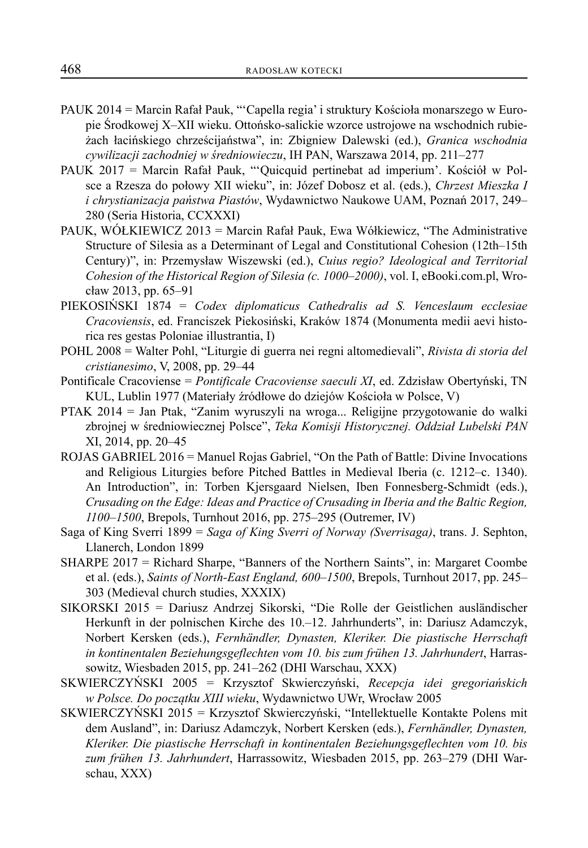- PAUK 2014 = Marcin Rafał Pauk, "'Capella regia' i struktury Kościoła monarszego w Europie Środkowej X–XII wieku. Ottońsko-salickie wzorce ustrojowe na wschodnich rubieżach łacińskiego chrześcijaństwa", in: Zbigniew Dalewski (ed.), *Granica wschodnia cywilizacji zachodniej w średniowieczu*, IH PAN, Warszawa 2014, pp. 211–277
- PAUK 2017 = Marcin Rafał Pauk, "'Quicquid pertinebat ad imperium'. Kościół w Polsce a Rzesza do połowy XII wieku", in: Józef Dobosz et al. (eds.), *Chrzest Mieszka I i chrystianizacja państwa Piastów*, Wydawnictwo Naukowe UAM, Poznań 2017, 249– 280 (Seria Historia, CCXXXI)
- PAUK, WÓŁKIEWICZ 2013 = Marcin Rafał Pauk, Ewa Wółkiewicz, "The Administrative Structure of Silesia as a Determinant of Legal and Constitutional Cohesion (12th–15th Century)", in: Przemysław Wiszewski (ed.), *Cuius regio? Ideological and Territorial Cohesion of the Historical Region of Silesia (c. 1000–2000)*, vol. I, eBooki.com.pl, Wrocław 2013, pp. 65–91
- PIEKOSIŃSKI 1874 = *Codex diplomaticus Cathedralis ad S. Venceslaum ecclesiae Cracoviensis*, ed. Franciszek Piekosiński, Kraków 1874 (Monumenta medii aevi historica res gestas Poloniae illustrantia, I)
- POHL 2008 = Walter Pohl, "Liturgie di guerra nei regni altomedievali", *Rivista di storia del cristianesimo*, V, 2008, pp. 29–44
- Pontificale Cracoviense = *Pontificale Cracoviense saeculi XI*, ed. Zdzisław Obertyński, TN KUL, Lublin 1977 (Materiały źródłowe do dziejów Kościoła w Polsce, V)
- PTAK 2014 = Jan Ptak, "Zanim wyruszyli na wroga... Religijne przygotowanie do walki zbrojnej w średniowiecznej Polsce", *Teka Komisji Historycznej. Oddział Lubelski PAN* XI, 2014, pp. 20–45
- ROJAS GABRIEL 2016 = Manuel Rojas Gabriel, "On the Path of Battle: Divine Invocations and Religious Liturgies before Pitched Battles in Medieval Iberia (c. 1212–c. 1340). An Introduction", in: Torben Kjersgaard Nielsen, Iben Fonnesberg-Schmidt (eds.), *Crusading on the Edge: Ideas and Practice of Crusading in Iberia and the Baltic Region, 1100–1500*, Brepols, Turnhout 2016, pp. 275–295 (Outremer, IV)
- Saga of King Sverri 1899 = *Saga of King Sverri of Norway (Sverrisaga)*, trans. J. Sephton, Llanerch, London 1899
- SHARPE 2017 = Richard Sharpe, "Banners of the Northern Saints", in: Margaret Coombe et al. (eds.), *Saints of North-East England, 600–1500*, Brepols, Turnhout 2017, pp. 245– 303 (Medieval church studies, XXXIX)
- SIKORSKI 2015 = Dariusz Andrzej Sikorski, "Die Rolle der Geistlichen ausländischer Herkunft in der polnischen Kirche des 10.–12. Jahrhunderts", in: Dariusz Adamczyk, Norbert Kersken (eds.), *Fernhändler, Dynasten, Kleriker. Die piastische Herrschaft in kontinentalen Beziehungsgeflechten vom 10. bis zum frühen 13. Jahrhundert*, Harrassowitz, Wiesbaden 2015, pp. 241–262 (DHI Warschau, XXX)
- SKWIERCZYŃSKI 2005 = Krzysztof Skwierczyński, *Recepcja idei gregoriańskich w Polsce. Do początku XIII wieku*, Wydawnictwo UWr, Wrocław 2005
- SKWIERCZYŃSKI 2015 = Krzysztof Skwierczyński, "Intellektuelle Kontakte Polens mit dem Ausland", in: Dariusz Adamczyk, Norbert Kersken (eds.), *Fernhändler, Dynasten, Kleriker. Die piastische Herrschaft in kontinentalen Beziehungsgeflechten vom 10. bis zum frühen 13. Jahrhundert*, Harrassowitz, Wiesbaden 2015, pp. 263–279 (DHI Warschau, XXX)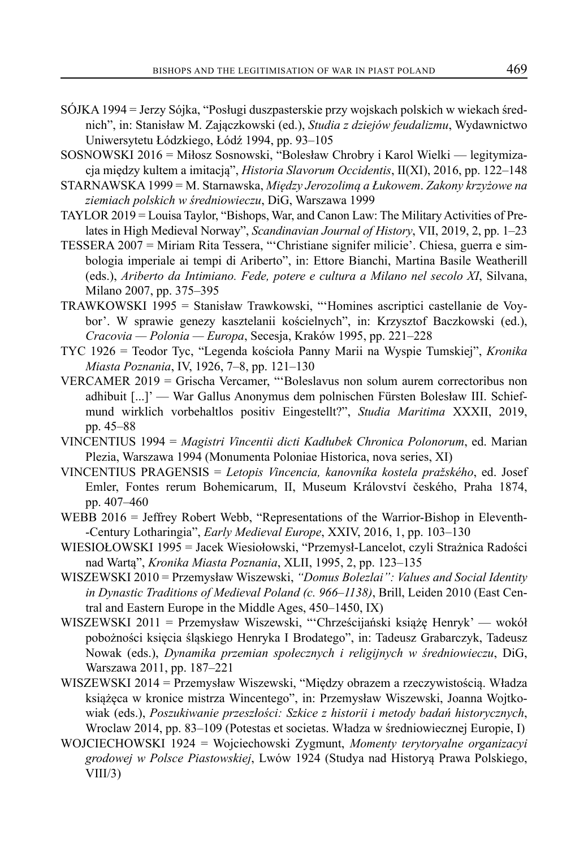- SÓJKA 1994 = Jerzy Sójka, "Posługi duszpasterskie przy wojskach polskich w wiekach średnich", in: Stanisław M. Zajączkowski (ed.), *Studia z dziejów feudalizmu*, Wydawnictwo Uniwersytetu Łódzkiego, Łódź 1994, pp. 93–105
- SOSNOWSKI 2016 = Miłosz Sosnowski, "Bolesław Chrobry i Karol Wielki legitymizacja między kultem a imitacją", *Historia Slavorum Occidentis*, II(XI), 2016, pp. 122–148
- STARNAWSKA 1999 = M. Starnawska, *Między Jerozolimą a Łukowem*. *Zakony krzyżowe na ziemiach polskich w średniowieczu*, DiG, Warszawa 1999
- TAYLOR 2019 = Louisa Taylor, "Bishops, War, and Canon Law: The Military Activities of Prelates in High Medieval Norway", *Scandinavian Journal of History*, VII, 2019, 2, pp. 1–23
- TESSERA 2007 = Miriam Rita Tessera, "'Christiane signifer milicie'. Chiesa, guerra e simbologia imperiale ai tempi di Ariberto", in: Ettore Bianchi, Martina Basile Weatherill (eds.), *Ariberto da Intimiano. Fede, potere e cultura a Milano nel secolo XI*, Silvana, Milano 2007, pp. 375–395
- TRAWKOWSKI 1995 = Stanisław Trawkowski, "'Homines ascriptici castellanie de Voybor'. W sprawie genezy kasztelanii kościelnych", in: Krzysztof Baczkowski (ed.), *Cracovia — Polonia — Europa*, Secesja, Kraków 1995, pp. 221–228
- TYC 1926 = Teodor Tyc, "Legenda kościoła Panny Marii na Wyspie Tumskiej", *Kronika Miasta Poznania*, IV, 1926, 7–8, pp. 121–130
- VERCAMER 2019 = Grischa Vercamer, "'Boleslavus non solum aurem correctoribus non adhibuit [...]' — War Gallus Anonymus dem polnischen Fürsten Bolesław III. Schiefmund wirklich vorbehaltlos positiv Eingestellt?", *Studia Maritima* XXXII, 2019, pp. 45–88
- VINCENTIUS 1994 = *Magistri Vincentii dicti Kadłubek Chronica Polonorum*, ed. Marian Plezia, Warszawa 1994 (Monumenta Poloniae Historica, nova series, XI)
- VINCENTIUS PRAGENSIS = *Letopis Vincencia, kanovníka kostela pražského*, ed. Josef Emler, Fontes rerum Bohemicarum, II, Museum Království českého, Praha 1874, pp. 407–460
- WEBB 2016 = Jeffrey Robert Webb, "Representations of the Warrior-Bishop in Eleventh- -Century Lotharingia", *Early Medieval Europe*, XXIV, 2016, 1, pp. 103–130
- WIESIOŁOWSKI 1995 = Jacek Wiesiołowski, "Przemysł-Lancelot, czyli Strażnica Radości nad Wartą", *Kronika Miasta Poznania*, XLII, 1995, 2, pp. 123–135
- WISZEWSKI 2010 = Przemysław Wiszewski, *"Domus Bolezlai": Values and Social Identity in Dynastic Traditions of Medieval Poland (c. 966–1138)*, Brill, Leiden 2010 (East Central and Eastern Europe in the Middle Ages, 450–1450, IX)
- WISZEWSKI 2011 = Przemysław Wiszewski, "'Chrześcijański książę Henryk' wokół pobożności księcia śląskiego Henryka I Brodatego", in: Tadeusz Grabarczyk, Tadeusz Nowak (eds.), *Dynamika przemian społecznych i religijnych w średniowieczu*, DiG, Warszawa 2011, pp. 187–221
- WISZEWSKI 2014 = Przemysław Wiszewski, "Między obrazem a rzeczywistością. Władza książęca w kronice mistrza Wincentego", in: Przemysław Wiszewski, Joanna Wojtkowiak (eds.), *Poszukiwanie przeszłości: Szkice z historii i metody badań historycznych*, Wroclaw 2014, pp. 83–109 (Potestas et societas. Władza w średniowiecznej Europie, I)
- WOJCIECHOWSKI 1924 = Wojciechowski Zygmunt, *Momenty terytoryalne organizacyi grodowej w Polsce Piastowskiej*, Lwów 1924 (Studya nad Historyą Prawa Polskiego, VIII/3)